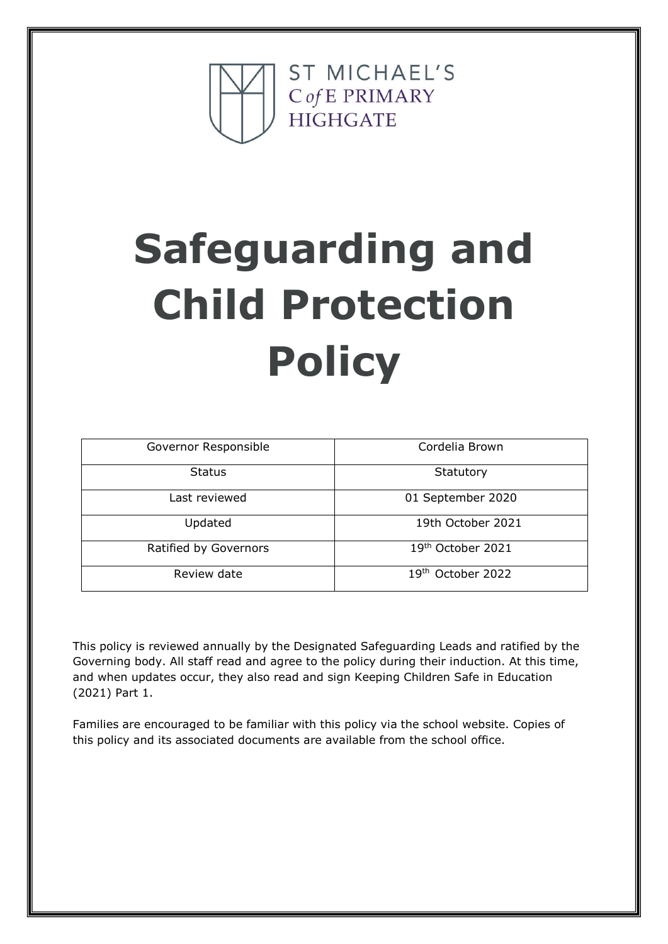

# **Safeguarding and Child Protection Policy**

| Governor Responsible  | Cordelia Brown                |
|-----------------------|-------------------------------|
| <b>Status</b>         | Statutory                     |
| Last reviewed         | 01 September 2020             |
| Updated               | 19th October 2021             |
| Ratified by Governors | 19th October 2021             |
| Review date           | 19 <sup>th</sup> October 2022 |

This policy is reviewed annually by the Designated Safeguarding Leads and ratified by the Governing body. All staff read and agree to the policy during their induction. At this time, and when updates occur, they also read and sign Keeping Children Safe in Education (2021) Part 1.

Families are encouraged to be familiar with this policy via the school website. Copies of this policy and its associated documents are available from the school office.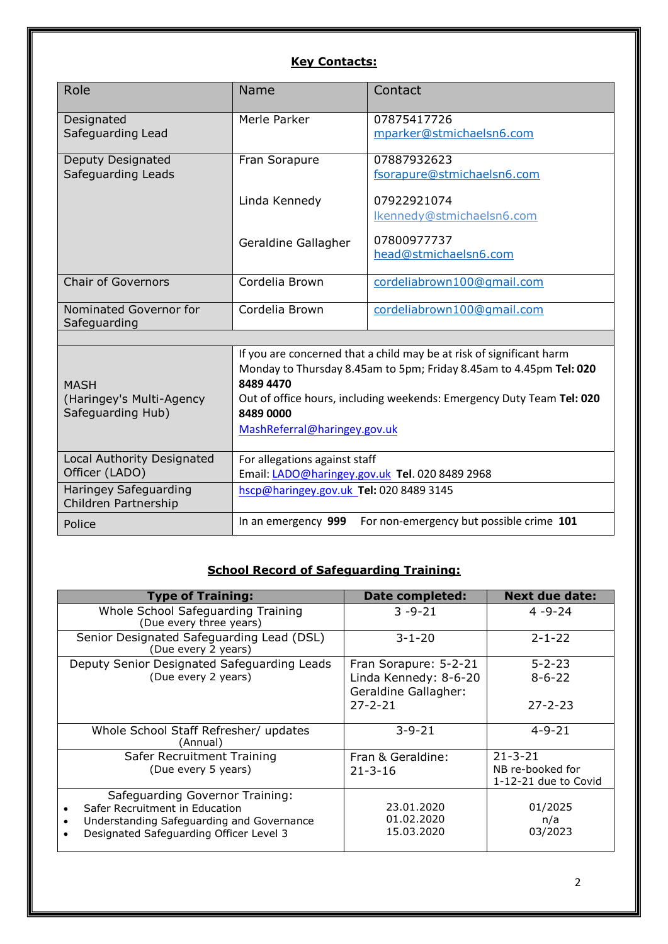# **Key Contacts:**

| Role                                                         | Name                                                                                                                                                                                                                                                                         | Contact                                   |  |
|--------------------------------------------------------------|------------------------------------------------------------------------------------------------------------------------------------------------------------------------------------------------------------------------------------------------------------------------------|-------------------------------------------|--|
| Designated<br>Safeguarding Lead                              | Merle Parker                                                                                                                                                                                                                                                                 | 07875417726<br>mparker@stmichaelsn6.com   |  |
| Deputy Designated<br>Safeguarding Leads                      | Fran Sorapure                                                                                                                                                                                                                                                                | 07887932623<br>fsorapure@stmichaelsn6.com |  |
|                                                              | Linda Kennedy                                                                                                                                                                                                                                                                | 07922921074<br>Ikennedy@stmichaelsn6.com  |  |
|                                                              | Geraldine Gallagher                                                                                                                                                                                                                                                          | 07800977737<br>head@stmichaelsn6.com      |  |
| <b>Chair of Governors</b>                                    | Cordelia Brown                                                                                                                                                                                                                                                               | cordeliabrown100@gmail.com                |  |
| Nominated Governor for<br>Safeguarding                       | Cordelia Brown                                                                                                                                                                                                                                                               | cordeliabrown100@gmail.com                |  |
|                                                              |                                                                                                                                                                                                                                                                              |                                           |  |
| <b>MASH</b><br>(Haringey's Multi-Agency<br>Safeguarding Hub) | If you are concerned that a child may be at risk of significant harm<br>Monday to Thursday 8.45am to 5pm; Friday 8.45am to 4.45pm Tel: 020<br>84894470<br>Out of office hours, including weekends: Emergency Duty Team Tel: 020<br>8489 0000<br>MashReferral@haringey.gov.uk |                                           |  |
| Local Authority Designated<br>Officer (LADO)                 | For allegations against staff<br>Email: LADO@haringey.gov.uk Tel. 020 8489 2968                                                                                                                                                                                              |                                           |  |
| <b>Haringey Safeguarding</b><br>Children Partnership         | hscp@haringey.gov.uk Tel: 020 8489 3145                                                                                                                                                                                                                                      |                                           |  |
| Police                                                       | In an emergency 999                                                                                                                                                                                                                                                          | For non-emergency but possible crime 101  |  |

## **School Record of Safeguarding Training:**

| <b>Type of Training:</b>                                                                                                                                               | <b>Date completed:</b>                        | <b>Next due date:</b>                    |
|------------------------------------------------------------------------------------------------------------------------------------------------------------------------|-----------------------------------------------|------------------------------------------|
| Whole School Safeguarding Training<br>(Due every three years)                                                                                                          | $3 - 9 - 21$                                  | $4 - 9 - 24$                             |
| Senior Designated Safeguarding Lead (DSL)<br>(Due every 2 years)                                                                                                       | $3 - 1 - 20$                                  | $2 - 1 - 22$                             |
| Deputy Senior Designated Safeguarding Leads                                                                                                                            | Fran Sorapure: 5-2-21                         | $5 - 2 - 23$                             |
| (Due every 2 years)                                                                                                                                                    | Linda Kennedy: 8-6-20<br>Geraldine Gallagher: | $8 - 6 - 22$                             |
|                                                                                                                                                                        | $27 - 2 - 21$                                 | $27 - 2 - 23$                            |
| Whole School Staff Refresher/ updates<br>(Annual)                                                                                                                      | $3 - 9 - 21$                                  | $4 - 9 - 21$                             |
| Safer Recruitment Training                                                                                                                                             | Fran & Geraldine:                             | $21 - 3 - 21$                            |
| (Due every 5 years)                                                                                                                                                    | $21 - 3 - 16$                                 | NB re-booked for<br>1-12-21 due to Covid |
| Safeguarding Governor Training:<br>Safer Recruitment in Education<br>Understanding Safeguarding and Governance<br>$\bullet$<br>Designated Safeguarding Officer Level 3 | 23.01.2020<br>01.02.2020<br>15.03.2020        | 01/2025<br>n/a<br>03/2023                |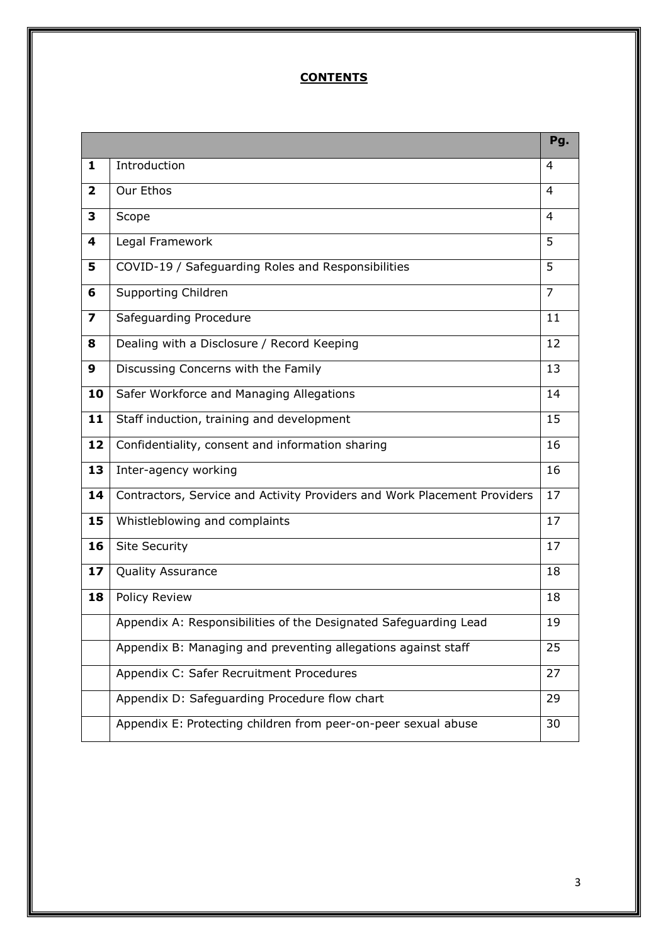# **CONTENTS**

|                         |                                                                          | Pg.            |
|-------------------------|--------------------------------------------------------------------------|----------------|
| 1                       | Introduction                                                             | $\overline{4}$ |
| $\mathbf{2}$            | Our Ethos                                                                | 4              |
| 3                       | Scope                                                                    | $\overline{4}$ |
| 4                       | Legal Framework                                                          | 5              |
| 5                       | COVID-19 / Safeguarding Roles and Responsibilities                       | 5              |
| 6                       | Supporting Children                                                      | $\overline{7}$ |
| $\overline{\mathbf{z}}$ | Safeguarding Procedure                                                   | 11             |
| 8                       | Dealing with a Disclosure / Record Keeping                               | 12             |
| 9                       | Discussing Concerns with the Family                                      | 13             |
| 10                      | Safer Workforce and Managing Allegations                                 | 14             |
| 11                      | Staff induction, training and development                                | 15             |
| 12                      | Confidentiality, consent and information sharing                         | 16             |
| 13                      | Inter-agency working                                                     | 16             |
| 14                      | Contractors, Service and Activity Providers and Work Placement Providers | 17             |
| 15                      | Whistleblowing and complaints                                            | 17             |
| 16                      | <b>Site Security</b>                                                     | 17             |
| 17                      | Quality Assurance                                                        | 18             |
| 18                      | <b>Policy Review</b>                                                     | 18             |
|                         | Appendix A: Responsibilities of the Designated Safeguarding Lead         | 19             |
|                         | Appendix B: Managing and preventing allegations against staff            | 25             |
|                         | Appendix C: Safer Recruitment Procedures                                 | 27             |
|                         | Appendix D: Safeguarding Procedure flow chart                            | 29             |
|                         | Appendix E: Protecting children from peer-on-peer sexual abuse           | 30             |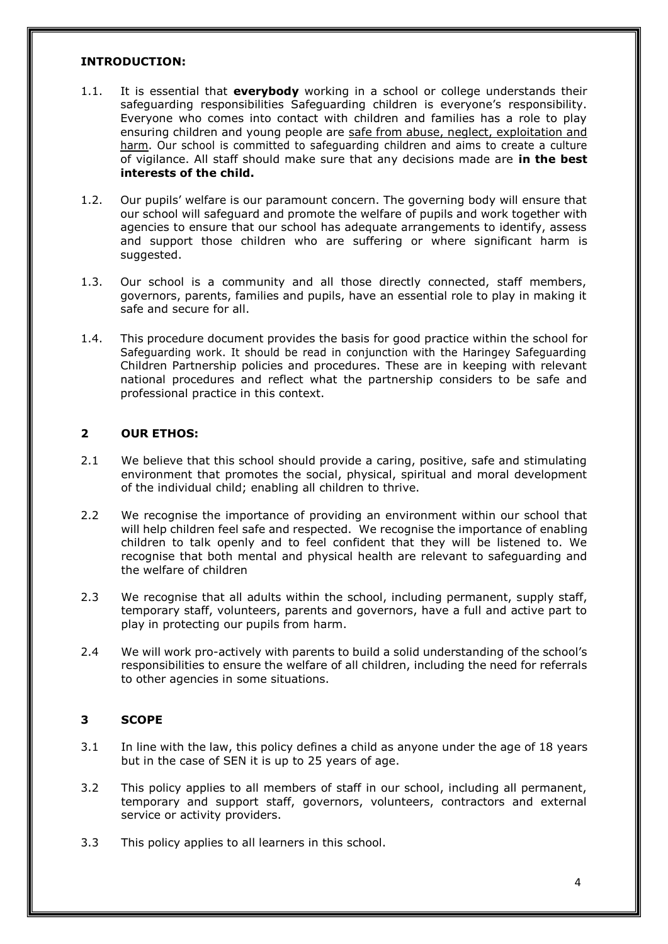#### **INTRODUCTION:**

- 1.1. It is essential that **everybody** working in a school or college understands their safeguarding responsibilities Safeguarding children is everyone's responsibility. Everyone who comes into contact with children and families has a role to play ensuring children and young people are safe from abuse, neglect, exploitation and harm. Our school is committed to safeguarding children and aims to create a culture of vigilance. All staff should make sure that any decisions made are **in the best interests of the child.**
- 1.2. Our pupils' welfare is our paramount concern. The governing body will ensure that our school will safeguard and promote the welfare of pupils and work together with agencies to ensure that our school has adequate arrangements to identify, assess and support those children who are suffering or where significant harm is suggested.
- 1.3. Our school is a community and all those directly connected, staff members, governors, parents, families and pupils, have an essential role to play in making it safe and secure for all.
- 1.4. This procedure document provides the basis for good practice within the school for Safeguarding work. It should be read in conjunction with the Haringey Safeguarding Children Partnership policies and procedures. These are in keeping with relevant national procedures and reflect what the partnership considers to be safe and professional practice in this context.

## **2 OUR ETHOS:**

- 2.1 We believe that this school should provide a caring, positive, safe and stimulating environment that promotes the social, physical, spiritual and moral development of the individual child; enabling all children to thrive.
- 2.2 We recognise the importance of providing an environment within our school that will help children feel safe and respected. We recognise the importance of enabling children to talk openly and to feel confident that they will be listened to. We recognise that both mental and physical health are relevant to safeguarding and the welfare of children
- 2.3 We recognise that all adults within the school, including permanent, supply staff, temporary staff, volunteers, parents and governors, have a full and active part to play in protecting our pupils from harm.
- 2.4 We will work pro-actively with parents to build a solid understanding of the school's responsibilities to ensure the welfare of all children, including the need for referrals to other agencies in some situations.

## **3 SCOPE**

- 3.1 In line with the law, this policy defines a child as anyone under the age of 18 years but in the case of SEN it is up to 25 years of age.
- 3.2 This policy applies to all members of staff in our school, including all permanent, temporary and support staff, governors, volunteers, contractors and external service or activity providers.
- 3.3 This policy applies to all learners in this school.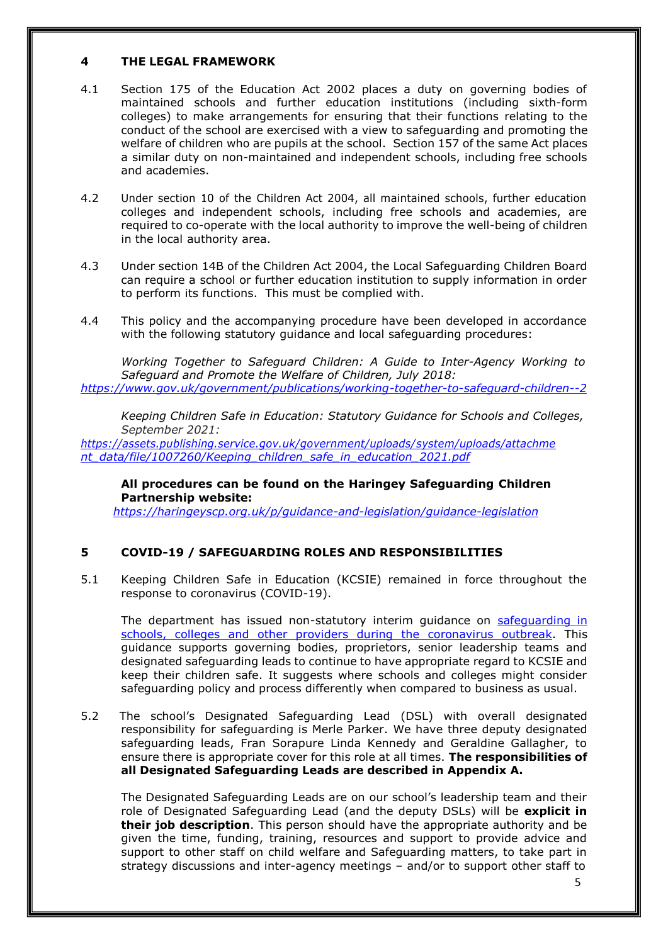#### **4 THE LEGAL FRAMEWORK**

- 4.1 Section 175 of the Education Act 2002 places a duty on governing bodies of maintained schools and further education institutions (including sixth-form colleges) to make arrangements for ensuring that their functions relating to the conduct of the school are exercised with a view to safeguarding and promoting the welfare of children who are pupils at the school. Section 157 of the same Act places a similar duty on non-maintained and independent schools, including free schools and academies.
- 4.2 Under section 10 of the Children Act 2004, all maintained schools, further education colleges and independent schools, including free schools and academies, are required to co-operate with the local authority to improve the well-being of children in the local authority area.
- 4.3 Under section 14B of the Children Act 2004, the Local Safeguarding Children Board can require a school or further education institution to supply information in order to perform its functions. This must be complied with.
- 4.4 This policy and the accompanying procedure have been developed in accordance with the following statutory guidance and local safeguarding procedures:

*Working Together to Safeguard Children: A Guide to Inter-Agency Working to Safeguard and Promote the Welfare of Children, July 2018: <https://www.gov.uk/government/publications/working-together-to-safeguard-children--2>*

*Keeping Children Safe in Education: Statutory Guidance for Schools and Colleges, September 2021:*

*[https://assets.publishing.service.gov.uk/government/uploads/system/uploads/attachme](https://assets.publishing.service.gov.uk/government/uploads/system/uploads/attachment_data/file/1007260/Keeping_children_safe_in_education_2021.pdf) [nt\\_data/file/1007260/Keeping\\_children\\_safe\\_in\\_education\\_2021.pdf](https://assets.publishing.service.gov.uk/government/uploads/system/uploads/attachment_data/file/1007260/Keeping_children_safe_in_education_2021.pdf)*

**All procedures can be found on the Haringey Safeguarding Children Partnership website:**

*<https://haringeyscp.org.uk/p/guidance-and-legislation/guidance-legislation>*

## **5 COVID-19 / SAFEGUARDING ROLES AND RESPONSIBILITIES**

5.1 Keeping Children Safe in Education (KCSIE) remained in force throughout the response to coronavirus (COVID-19).

The department has issued non-statutory interim guidance on [safeguarding in](https://www.gov.uk/government/publications/covid-19-safeguarding-in-schools-colleges-and-other-providers) schools, colleges and other providers during the [coronavirus](https://www.gov.uk/government/publications/covid-19-safeguarding-in-schools-colleges-and-other-providers) outbreak. This guidance supports governing bodies, proprietors, senior leadership teams and designated safeguarding leads to continue to have appropriate regard to KCSIE and keep their children safe. It suggests where schools and colleges might consider safeguarding policy and process differently when compared to business as usual.

5.2 The school's Designated Safeguarding Lead (DSL) with overall designated responsibility for safeguarding is Merle Parker. We have three deputy designated safeguarding leads, Fran Sorapure Linda Kennedy and Geraldine Gallagher, to ensure there is appropriate cover for this role at all times. **The responsibilities of all Designated Safeguarding Leads are described in Appendix A.**

The Designated Safeguarding Leads are on our school's leadership team and their role of Designated Safeguarding Lead (and the deputy DSLs) will be **explicit in their job description**. This person should have the appropriate authority and be given the time, funding, training, resources and support to provide advice and support to other staff on child welfare and Safeguarding matters, to take part in strategy discussions and inter-agency meetings – and/or to support other staff to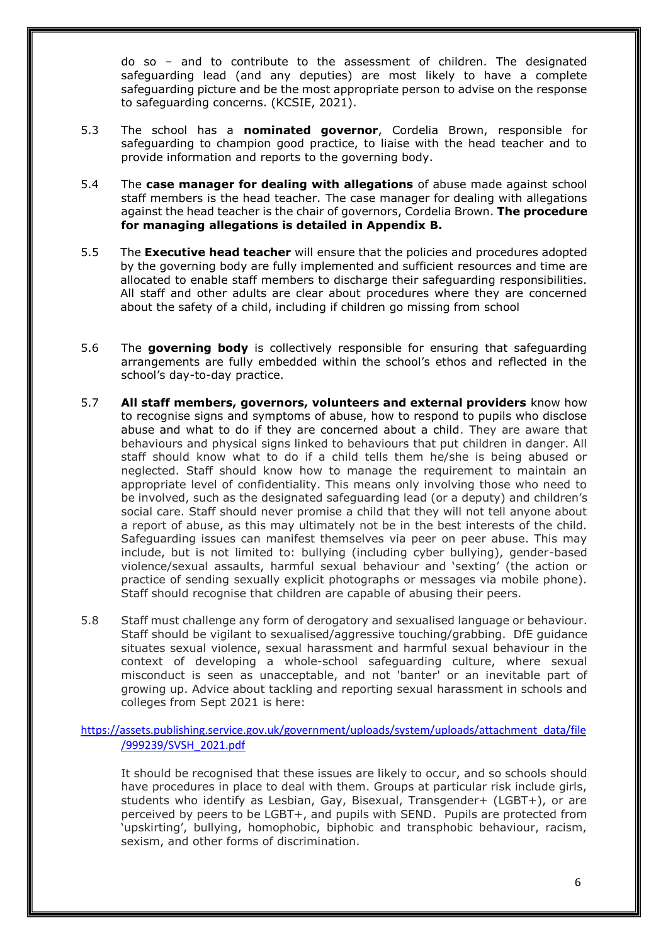do so – and to contribute to the assessment of children. The designated safeguarding lead (and any deputies) are most likely to have a complete safeguarding picture and be the most appropriate person to advise on the response to safeguarding concerns. (KCSIE, 2021).

- 5.3 The school has a **nominated governor**, Cordelia Brown, responsible for safeguarding to champion good practice, to liaise with the head teacher and to provide information and reports to the governing body.
- 5.4 The **case manager for dealing with allegations** of abuse made against school staff members is the head teacher. The case manager for dealing with allegations against the head teacher is the chair of governors, Cordelia Brown. **The procedure for managing allegations is detailed in Appendix B.**
- 5.5 The **Executive head teacher** will ensure that the policies and procedures adopted by the governing body are fully implemented and sufficient resources and time are allocated to enable staff members to discharge their safeguarding responsibilities. All staff and other adults are clear about procedures where they are concerned about the safety of a child, including if children go missing from school
- 5.6 The **governing body** is collectively responsible for ensuring that safeguarding arrangements are fully embedded within the school's ethos and reflected in the school's day-to-day practice.
- 5.7 **All staff members, governors, volunteers and external providers** know how to recognise signs and symptoms of abuse, how to respond to pupils who disclose abuse and what to do if they are concerned about a child. They are aware that behaviours and physical signs linked to behaviours that put children in danger. All staff should know what to do if a child tells them he/she is being abused or neglected. Staff should know how to manage the requirement to maintain an appropriate level of confidentiality. This means only involving those who need to be involved, such as the designated safeguarding lead (or a deputy) and children's social care. Staff should never promise a child that they will not tell anyone about a report of abuse, as this may ultimately not be in the best interests of the child. Safeguarding issues can manifest themselves via peer on peer abuse. This may include, but is not limited to: bullying (including cyber bullying), gender-based violence/sexual assaults, harmful sexual behaviour and 'sexting' (the action or practice of sending sexually explicit photographs or messages via mobile phone). Staff should recognise that children are capable of abusing their peers.
- 5.8 Staff must challenge any form of derogatory and sexualised language or behaviour. Staff should be vigilant to sexualised/aggressive touching/grabbing. DfE guidance situates sexual violence, sexual harassment and harmful sexual behaviour in the context of developing a whole-school safeguarding culture, where sexual misconduct is seen as unacceptable, and not 'banter' or an inevitable part of growing up. Advice about tackling and reporting sexual harassment in schools and colleges from Sept 2021 is here:

[https://assets.publishing.service.gov.uk/government/uploads/system/uploads/attachment\\_data/file](https://assets.publishing.service.gov.uk/government/uploads/system/uploads/attachment_data/file/999239/SVSH_2021.pdf) [/999239/SVSH\\_2021.pdf](https://assets.publishing.service.gov.uk/government/uploads/system/uploads/attachment_data/file/999239/SVSH_2021.pdf)

It should be recognised that these issues are likely to occur, and so schools should have procedures in place to deal with them. Groups at particular risk include girls, students who identify as Lesbian, Gay, Bisexual, Transgender+ (LGBT+), or are perceived by peers to be LGBT+, and pupils with SEND. Pupils are protected from 'upskirting', bullying, homophobic, biphobic and transphobic behaviour, racism, sexism, and other forms of discrimination.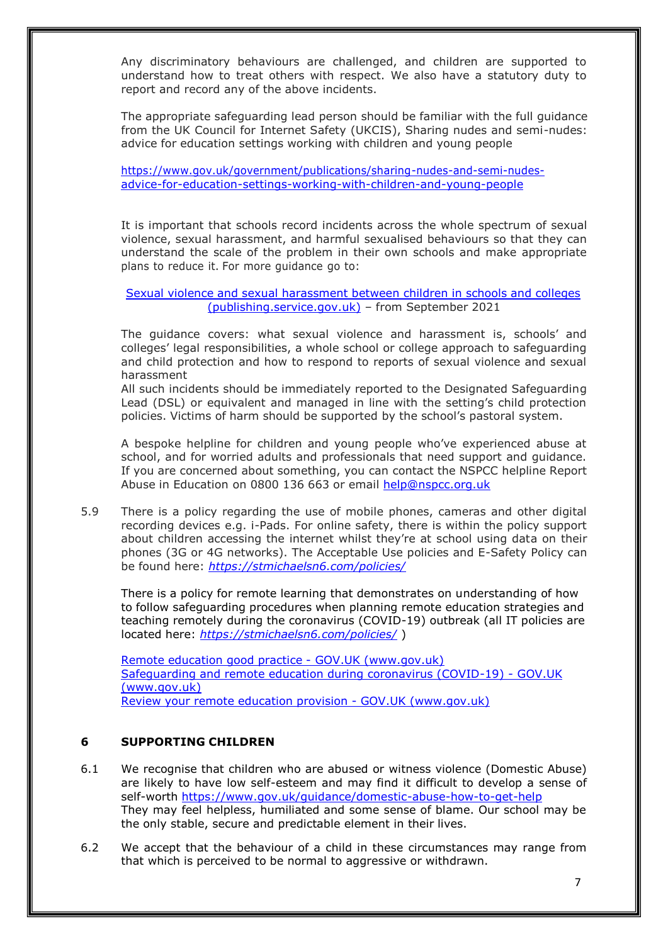Any discriminatory behaviours are challenged, and children are supported to understand how to treat others with respect. We also have a statutory duty to report and record any of the above incidents.

The appropriate safeguarding lead person should be familiar with the full guidance from the UK Council for Internet Safety (UKCIS), Sharing nudes and semi-nudes: advice for education settings working with children and young people

[https://www.gov.uk/government/publications/sharing-nudes-and-semi-nudes](https://www.gov.uk/government/publications/sharing-nudes-and-semi-nudes-advice-for-education-settings-working-with-children-and-young-people)[advice-for-education-settings-working-with-children-and-young-people](https://www.gov.uk/government/publications/sharing-nudes-and-semi-nudes-advice-for-education-settings-working-with-children-and-young-people)

It is important that schools record incidents across the whole spectrum of sexual violence, sexual harassment, and harmful sexualised behaviours so that they can understand the scale of the problem in their own schools and make appropriate plans to reduce it. For more guidance go to:

Sexual violence and sexual [harassment](https://assets.publishing.service.gov.uk/government/uploads/system/uploads/attachment_data/file/999239/SVSH_2021.pdf) between children in schools and colleges [\(publishing.service.gov.uk\)](https://assets.publishing.service.gov.uk/government/uploads/system/uploads/attachment_data/file/999239/SVSH_2021.pdf) – from September 2021

The guidance covers: what sexual violence and harassment is, schools' and colleges' legal responsibilities, a whole school or college approach to safeguarding and child protection and how to respond to reports of sexual violence and sexual harassment

All such incidents should be immediately reported to the Designated Safeguarding Lead (DSL) or equivalent and managed in line with the setting's child protection policies. Victims of harm should be supported by the school's pastoral system.

A bespoke helpline for children and young people who've experienced abuse at school, and for worried adults and professionals that need support and guidance. If you are concerned about something, you can contact the NSPCC helpline Report Abuse in Education on 0800 136 663 or email [help@nspcc.org.uk](mailto:help@nspcc.org.uk)

5.9 There is a policy regarding the use of mobile phones, cameras and other digital recording devices e.g. i-Pads. For online safety, there is within the policy support about children accessing the internet whilst they're at school using data on their phones (3G or 4G networks). The Acceptable Use policies and E-Safety Policy can be found here: *<https://stmichaelsn6.com/policies/>*

There is a policy for remote learning that demonstrates on understanding of how to follow safeguarding procedures when planning remote education strategies and teaching remotely during the coronavirus (COVID-19) outbreak (all IT policies are located here: *<https://stmichaelsn6.com/policies/>* )

Remote education good practice - GOV.UK [\(www.gov.uk\)](https://www.gov.uk/government/publications/remote-education-good-practice/remote-education-good-practice) [Safeguarding and remote education during coronavirus \(COVID-19\) -](https://www.gov.uk/guidance/safeguarding-and-remote-education-during-coronavirus-covid-19) GOV.UK [\(www.gov.uk\)](https://www.gov.uk/guidance/safeguarding-and-remote-education-during-coronavirus-covid-19) Review your remote education provision - GOV.UK (www.gov.uk)

## **6 SUPPORTING CHILDREN**

- 6.1 We recognise that children who are abused or witness violence (Domestic Abuse) are likely to have low self-esteem and may find it difficult to develop a sense of self-worth <https://www.gov.uk/guidance/domestic-abuse-how-to-get-help> They may feel helpless, humiliated and some sense of blame. Our school may be the only stable, secure and predictable element in their lives.
- 6.2 We accept that the behaviour of a child in these circumstances may range from that which is perceived to be normal to aggressive or withdrawn.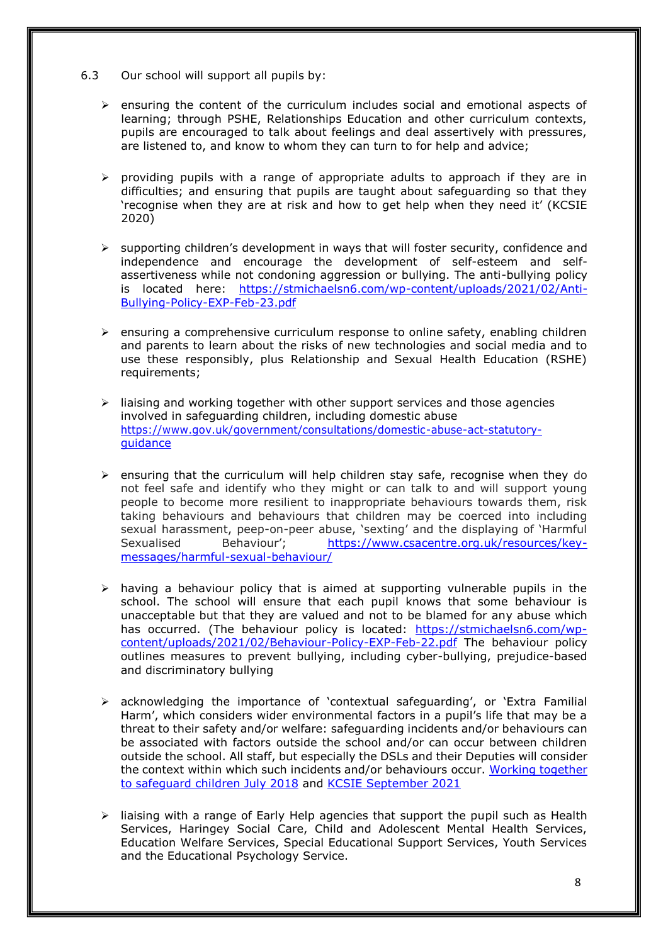- 6.3 Our school will support all pupils by:
	- ➢ ensuring the content of the curriculum includes social and emotional aspects of learning; through PSHE, Relationships Education and other curriculum contexts, pupils are encouraged to talk about feelings and deal assertively with pressures, are listened to, and know to whom they can turn to for help and advice;
	- ➢ providing pupils with a range of appropriate adults to approach if they are in difficulties; and ensuring that pupils are taught about safeguarding so that they 'recognise when they are at risk and how to get help when they need it' (KCSIE 2020)
	- $\triangleright$  supporting children's development in ways that will foster security, confidence and independence and encourage the development of self-esteem and selfassertiveness while not condoning aggression or bullying. The anti-bullying policy is located here: [https://stmichaelsn6.com/wp-content/uploads/2021/02/Anti-](https://stmichaelsn6.com/wp-content/uploads/2021/02/Anti-Bullying-Policy-EXP-Feb-23.pdf)[Bullying-Policy-EXP-Feb-23.pdf](https://stmichaelsn6.com/wp-content/uploads/2021/02/Anti-Bullying-Policy-EXP-Feb-23.pdf)
	- $\triangleright$  ensuring a comprehensive curriculum response to online safety, enabling children and parents to learn about the risks of new technologies and social media and to use these responsibly, plus Relationship and Sexual Health Education (RSHE) requirements;
	- $\triangleright$  liaising and working together with other support services and those agencies involved in safeguarding children, including domestic abuse [https://www.gov.uk/government/consultations/domestic-abuse-act-statutory](https://www.gov.uk/government/consultations/domestic-abuse-act-statutory-guidance)[guidance](https://www.gov.uk/government/consultations/domestic-abuse-act-statutory-guidance)
	- $\triangleright$  ensuring that the curriculum will help children stay safe, recognise when they do not feel safe and identify who they might or can talk to and will support young people to become more resilient to inappropriate behaviours towards them, risk taking behaviours and behaviours that children may be coerced into including sexual harassment, peep-on-peer abuse, 'sexting' and the displaying of 'Harmful Sexualised Behaviour'; [https://www.csacentre.org.uk/resources/key](https://www.csacentre.org.uk/resources/key-messages/harmful-sexual-behaviour/)[messages/harmful-sexual-behaviour/](https://www.csacentre.org.uk/resources/key-messages/harmful-sexual-behaviour/)
	- ➢ having a behaviour policy that is aimed at supporting vulnerable pupils in the school. The school will ensure that each pupil knows that some behaviour is unacceptable but that they are valued and not to be blamed for any abuse which has occurred. (The behaviour policy is located: [https://stmichaelsn6.com/wp](https://stmichaelsn6.com/wp-content/uploads/2021/02/Behaviour-Policy-EXP-Feb-22.pdf)[content/uploads/2021/02/Behaviour-Policy-EXP-Feb-22.pdf](https://stmichaelsn6.com/wp-content/uploads/2021/02/Behaviour-Policy-EXP-Feb-22.pdf) The behaviour policy outlines measures to prevent bullying, including cyber-bullying, prejudice-based and discriminatory bullying
	- ➢ acknowledging the importance of 'contextual safeguarding', or 'Extra Familial Harm', which considers wider environmental factors in a pupil's life that may be a threat to their safety and/or welfare: safeguarding incidents and/or behaviours can be associated with factors outside the school and/or can occur between children outside the school. All staff, but especially the DSLs and their Deputies will consider the context within which such incidents and/or behaviours occur. Working [together](https://www.gov.uk/government/publications/working-together-to-safeguard-children--2) to safeguard [children July](https://www.gov.uk/government/publications/working-together-to-safeguard-children--2) 2018 and KCSIE [September](https://assets.publishing.service.gov.uk/government/uploads/system/uploads/attachment_data/file/1007260/Keeping_children_safe_in_education_2021.pdf) 2021
	- ➢ liaising with a range of Early Help agencies that support the pupil such as Health Services, Haringey Social Care, Child and Adolescent Mental Health Services, Education Welfare Services, Special Educational Support Services, Youth Services and the Educational Psychology Service.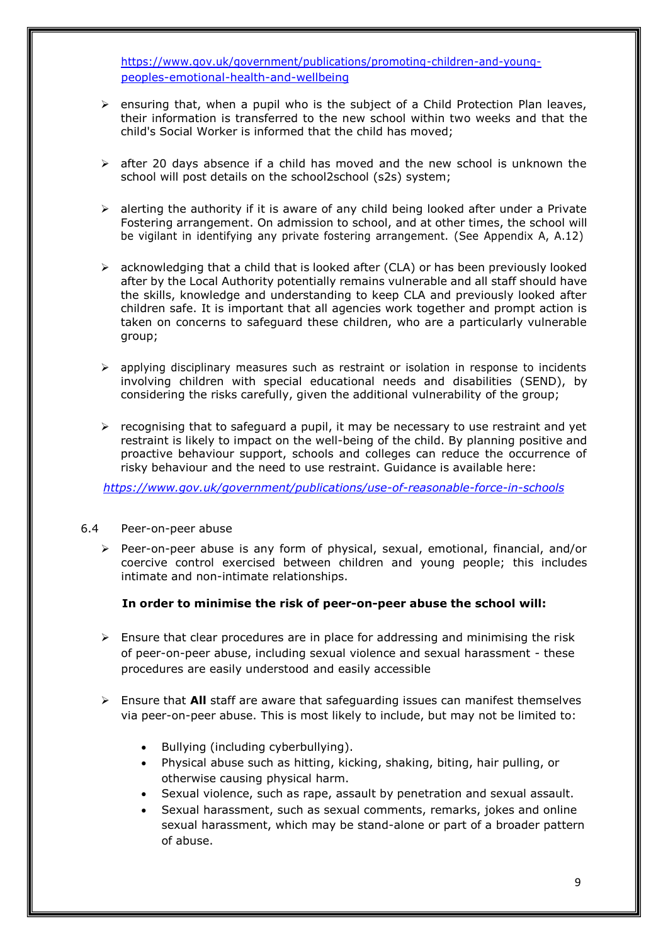[https://www.gov.uk/government/publications/promoting-children-and-young](https://www.gov.uk/government/publications/promoting-children-and-young-peoples-emotional-health-and-wellbeing)[peoples-emotional-health-and-wellbeing](https://www.gov.uk/government/publications/promoting-children-and-young-peoples-emotional-health-and-wellbeing)

- $\triangleright$  ensuring that, when a pupil who is the subject of a Child Protection Plan leaves, their information is transferred to the new school within two weeks and that the child's Social Worker is informed that the child has moved;
- $\triangleright$  after 20 days absence if a child has moved and the new school is unknown the school will post details on the school2school (s2s) system;
- $\triangleright$  alerting the authority if it is aware of any child being looked after under a Private Fostering arrangement. On admission to school, and at other times, the school will be vigilant in identifying any private fostering arrangement. (See Appendix A, A.12)
- $\triangleright$  acknowledging that a child that is looked after (CLA) or has been previously looked after by the Local Authority potentially remains vulnerable and all staff should have the skills, knowledge and understanding to keep CLA and previously looked after children safe. It is important that all agencies work together and prompt action is taken on concerns to safeguard these children, who are a particularly vulnerable group;
- $\triangleright$  applying disciplinary measures such as restraint or isolation in response to incidents involving children with special educational needs and disabilities (SEND), by considering the risks carefully, given the additional vulnerability of the group;
- $\triangleright$  recognising that to safeguard a pupil, it may be necessary to use restraint and yet restraint is likely to impact on the well-being of the child. By planning positive and proactive behaviour support, schools and colleges can reduce the occurrence of risky behaviour and the need to use restraint. Guidance is available here:

*<https://www.gov.uk/government/publications/use-of-reasonable-force-in-schools>*

#### 6.4 Peer-on-peer abuse

➢ Peer-on-peer abuse is any form of physical, sexual, emotional, financial, and/or coercive control exercised between children and young people; this includes intimate and non-intimate relationships.

#### **In order to minimise the risk of peer-on-peer abuse the school will:**

- $\triangleright$  Ensure that clear procedures are in place for addressing and minimising the risk of peer-on-peer abuse, including sexual violence and sexual harassment - these procedures are easily understood and easily accessible
- ➢ Ensure that **All** staff are aware that safeguarding issues can manifest themselves via peer-on-peer abuse. This is most likely to include, but may not be limited to:
	- Bullying (including cyberbullying).
	- Physical abuse such as hitting, kicking, shaking, biting, hair pulling, or otherwise causing physical harm.
	- Sexual violence, such as rape, assault by penetration and sexual assault.
	- Sexual harassment, such as sexual comments, remarks, jokes and online sexual harassment, which may be stand-alone or part of a broader pattern of abuse.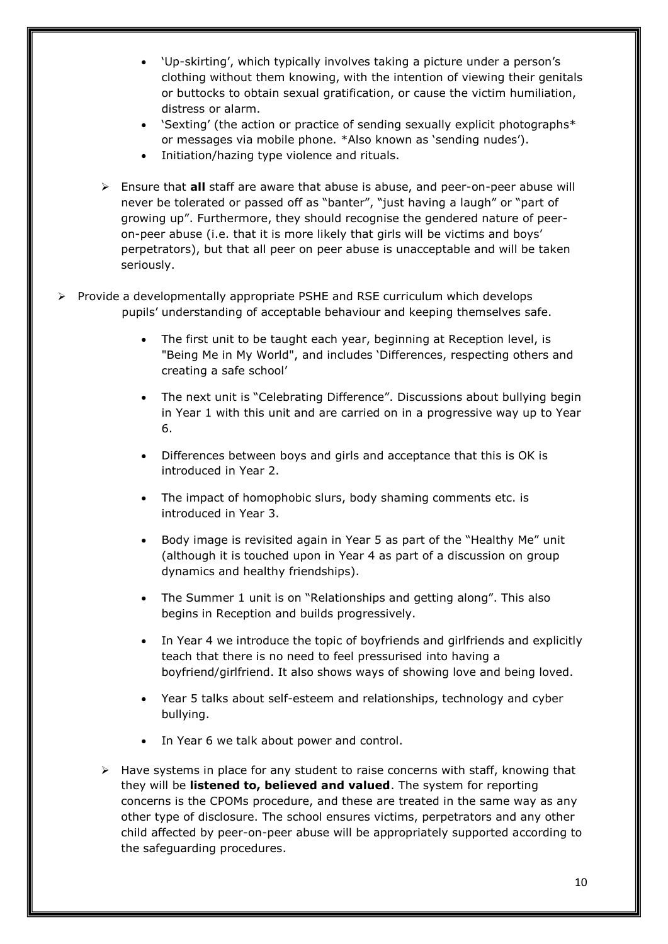- 'Up-skirting', which typically involves taking a picture under a person's clothing without them knowing, with the intention of viewing their genitals or buttocks to obtain sexual gratification, or cause the victim humiliation, distress or alarm.
- 'Sexting' (the action or practice of sending sexually explicit photographs\* or messages via mobile phone. \*Also known as 'sending nudes').
- Initiation/hazing type violence and rituals.
- ➢ Ensure that **all** staff are aware that abuse is abuse, and peer-on-peer abuse will never be tolerated or passed off as "banter", "just having a laugh" or "part of growing up". Furthermore, they should recognise the gendered nature of peeron-peer abuse (i.e. that it is more likely that girls will be victims and boys' perpetrators), but that all peer on peer abuse is unacceptable and will be taken seriously.
- ➢ Provide a developmentally appropriate PSHE and RSE curriculum which develops pupils' understanding of acceptable behaviour and keeping themselves safe.
	- The first unit to be taught each year, beginning at Reception level, is "Being Me in My World", and includes 'Differences, respecting others and creating a safe school'
	- The next unit is "Celebrating Difference". Discussions about bullying begin in Year 1 with this unit and are carried on in a progressive way up to Year 6.
	- Differences between boys and girls and acceptance that this is OK is introduced in Year 2.
	- The impact of homophobic slurs, body shaming comments etc. is introduced in Year 3.
	- Body image is revisited again in Year 5 as part of the "Healthy Me" unit (although it is touched upon in Year 4 as part of a discussion on group dynamics and healthy friendships).
	- The Summer 1 unit is on "Relationships and getting along". This also begins in Reception and builds progressively.
	- In Year 4 we introduce the topic of boyfriends and girlfriends and explicitly teach that there is no need to feel pressurised into having a boyfriend/girlfriend. It also shows ways of showing love and being loved.
	- Year 5 talks about self-esteem and relationships, technology and cyber bullying.
	- In Year 6 we talk about power and control.
	- $\triangleright$  Have systems in place for any student to raise concerns with staff, knowing that they will be **listened to, believed and valued**. The system for reporting concerns is the CPOMs procedure, and these are treated in the same way as any other type of disclosure. The school ensures victims, perpetrators and any other child affected by peer-on-peer abuse will be appropriately supported according to the safeguarding procedures.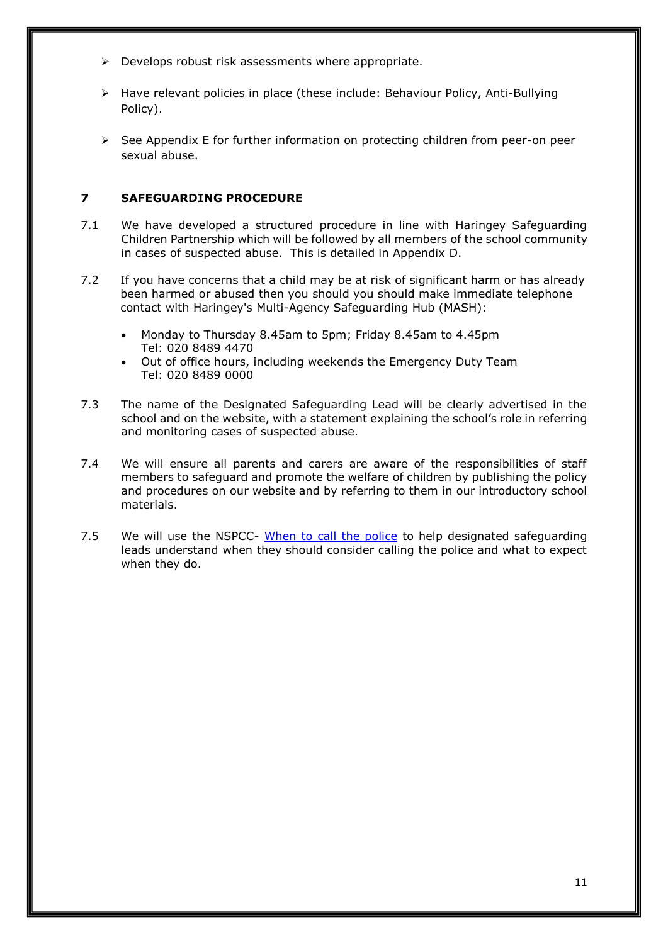- $\triangleright$  Develops robust risk assessments where appropriate.
- ➢ Have relevant policies in place (these include: Behaviour Policy, Anti-Bullying Policy).
- ➢ See Appendix E for further information on protecting children from peer-on peer sexual abuse.

## **7 SAFEGUARDING PROCEDURE**

- 7.1 We have developed a structured procedure in line with Haringey Safeguarding Children Partnership which will be followed by all members of the school community in cases of suspected abuse. This is detailed in Appendix D.
- 7.2 If you have concerns that a child may be at risk of significant harm or has already been harmed or abused then you should you should make immediate telephone contact with Haringey's Multi-Agency Safeguarding Hub (MASH):
	- Monday to Thursday 8.45am to 5pm; Friday 8.45am to 4.45pm Tel: 020 8489 4470
	- Out of office hours, including weekends the Emergency Duty Team Tel: 020 8489 0000
- 7.3 The name of the Designated Safeguarding Lead will be clearly advertised in the school and on the website, with a statement explaining the school's role in referring and monitoring cases of suspected abuse.
- 7.4 We will ensure all parents and carers are aware of the responsibilities of staff members to safeguard and promote the welfare of children by publishing the policy and procedures on our website and by referring to them in our introductory school materials.
- 7.5 We will use the NSPCC- [When to call the police](https://www.npcc.police.uk/documents/Children%20and%20Young%20people/When%20to%20call%20the%20police%20guidance%20for%20schools%20and%20colleges.pdf) to help designated safeguarding leads understand when they should consider calling the police and what to expect when they do.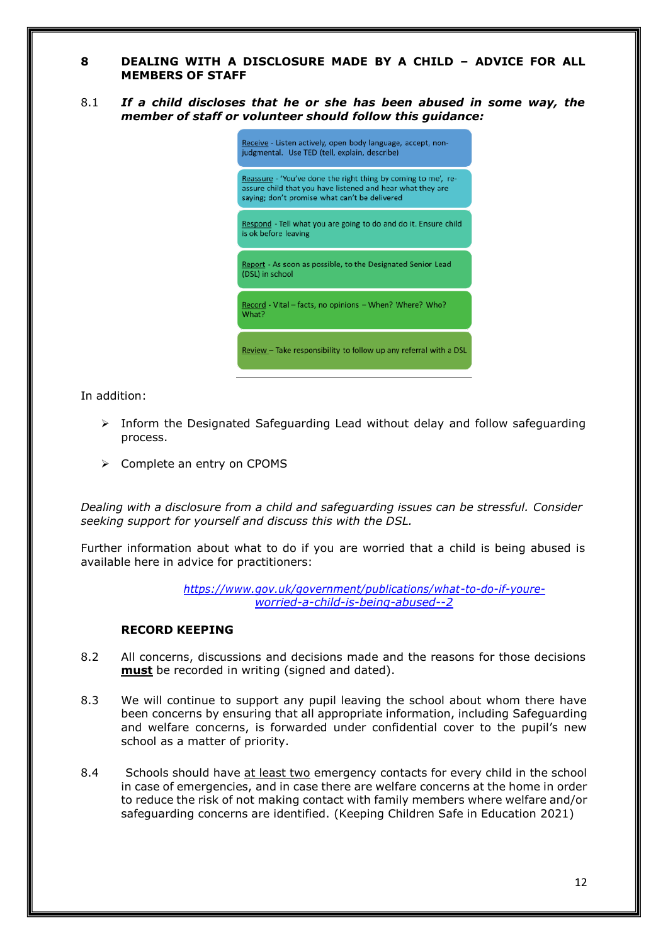#### **8 DEALING WITH A DISCLOSURE MADE BY A CHILD – ADVICE FOR ALL MEMBERS OF STAFF**

8.1 *If a child discloses that he or she has been abused in some way, the member of staff or volunteer should follow this guidance:*



In addition:

- ➢ Inform the Designated Safeguarding Lead without delay and follow safeguarding process.
- ➢ Complete an entry on CPOMS

*Dealing with a disclosure from a child and safeguarding issues can be stressful. Consider seeking support for yourself and discuss this with the DSL.*

Further information about what to do if you are worried that a child is being abused is available here in advice for practitioners:

> *[https://www.gov.uk/government/publications/what-to-do-if-youre](https://www.gov.uk/government/publications/what-to-do-if-youre-worried-a-child-is-being-abused--2)[worried-a-child-is-being-abused--2](https://www.gov.uk/government/publications/what-to-do-if-youre-worried-a-child-is-being-abused--2)*

## **RECORD KEEPING**

- 8.2 All concerns, discussions and decisions made and the reasons for those decisions **must** be recorded in writing (signed and dated).
- 8.3 We will continue to support any pupil leaving the school about whom there have been concerns by ensuring that all appropriate information, including Safeguarding and welfare concerns, is forwarded under confidential cover to the pupil's new school as a matter of priority.
- 8.4 Schools should have at least two emergency contacts for every child in the school in case of emergencies, and in case there are welfare concerns at the home in order to reduce the risk of not making contact with family members where welfare and/or safeguarding concerns are identified. (Keeping Children Safe in Education 2021)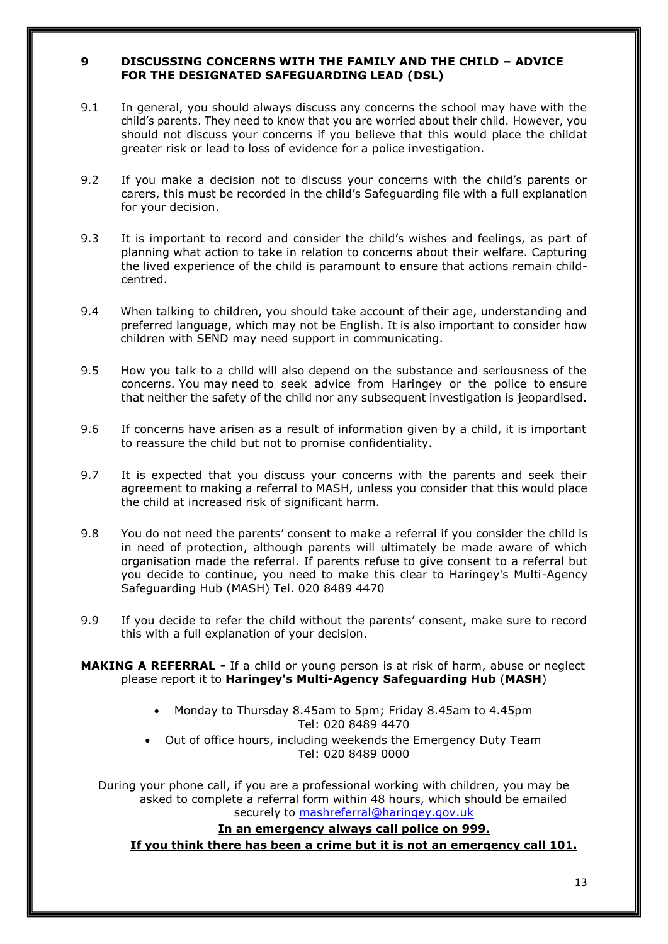## **9 DISCUSSING CONCERNS WITH THE FAMILY AND THE CHILD – ADVICE FOR THE DESIGNATED SAFEGUARDING LEAD (DSL)**

- 9.1 In general, you should always discuss any concerns the school may have with the child's parents. They need to know that you are worried about their child. However, you should not discuss your concerns if you believe that this would place the childat greater risk or lead to loss of evidence for a police investigation.
- 9.2 If you make a decision not to discuss your concerns with the child's parents or carers, this must be recorded in the child's Safeguarding file with a full explanation for your decision.
- 9.3 It is important to record and consider the child's wishes and feelings, as part of planning what action to take in relation to concerns about their welfare. Capturing the lived experience of the child is paramount to ensure that actions remain childcentred.
- 9.4 When talking to children, you should take account of their age, understanding and preferred language, which may not be English. It is also important to consider how children with SEND may need support in communicating.
- 9.5 How you talk to a child will also depend on the substance and seriousness of the concerns. You may need to seek advice from Haringey or the police to ensure that neither the safety of the child nor any subsequent investigation is jeopardised.
- 9.6 If concerns have arisen as a result of information given by a child, it is important to reassure the child but not to promise confidentiality.
- 9.7 It is expected that you discuss your concerns with the parents and seek their agreement to making a referral to MASH, unless you consider that this would place the child at increased risk of significant harm.
- 9.8 You do not need the parents' consent to make a referral if you consider the child is in need of protection, although parents will ultimately be made aware of which organisation made the referral. If parents refuse to give consent to a referral but you decide to continue, you need to make this clear to Haringey's Multi-Agency Safeguarding Hub (MASH) Tel. 020 8489 4470
- 9.9 If you decide to refer the child without the parents' consent, make sure to record this with a full explanation of your decision.

**MAKING A REFERRAL -** If a child or young person is at risk of harm, abuse or neglect please report it to **Haringey's Multi-Agency Safeguarding Hub** (**MASH**)

- Monday to Thursday 8.45am to 5pm; Friday 8.45am to 4.45pm Tel: 020 8489 4470
- Out of office hours, including weekends the Emergency Duty Team Tel: 020 8489 0000

During your phone call, if you are a professional working with children, you may be asked to complete a referral form within 48 hours, which should be emailed securely to [mashreferral@haringey.gov.uk](mailto:mashreferral@haringey.gov.uk)

## **In an emergency always call police on 999.**

**If you think there has been a crime but it is not an emergency call 101.**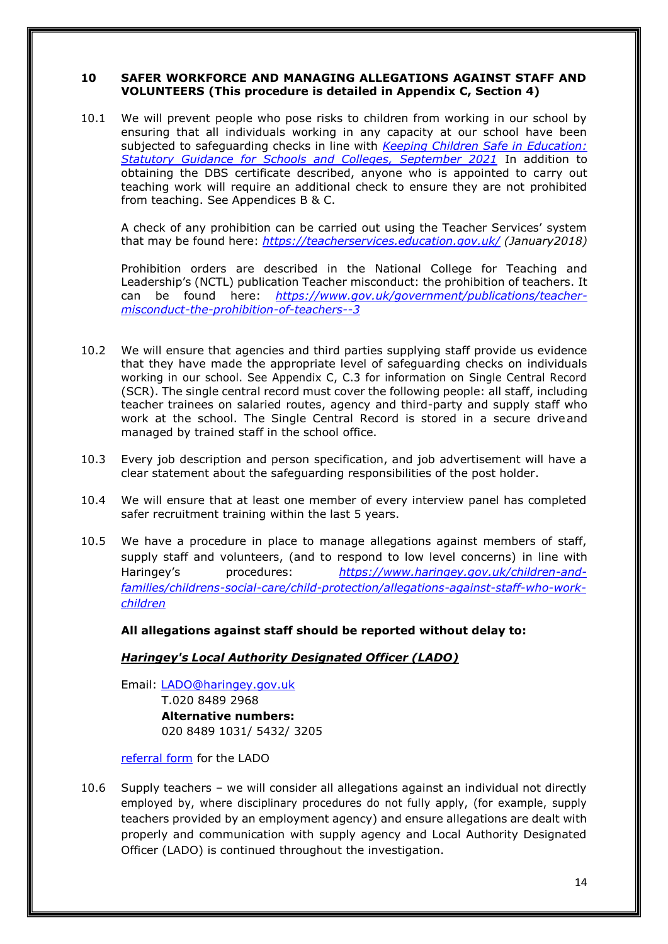## **10 SAFER WORKFORCE AND MANAGING ALLEGATIONS AGAINST STAFF AND VOLUNTEERS (This procedure is detailed in Appendix C, Section 4)**

10.1 We will prevent people who pose risks to children from working in our school by ensuring that all individuals working in any capacity at our school have been subjected to safeguarding checks in line with *[Keeping Children Safe in Education:](https://assets.publishing.service.gov.uk/government/uploads/system/uploads/attachment_data/file/1007260/Keeping_children_safe_in_education_2021.pdf) [Statutory Guidance for Schools and Colleges, September 2021](https://assets.publishing.service.gov.uk/government/uploads/system/uploads/attachment_data/file/1007260/Keeping_children_safe_in_education_2021.pdf)* In addition to obtaining the DBS certificate described, anyone who is appointed to carry out teaching work will require an additional check to ensure they are not prohibited from teaching. See Appendices B & C.

A check of any prohibition can be carried out using the Teacher Services' system that may be found here: *<https://teacherservices.education.gov.uk/> (January2018)*

Prohibition orders are described in the National College for Teaching and Leadership's (NCTL) publication Teacher misconduct: the prohibition of teachers. It can be found here: *[https://www.gov.uk/government/publications/teacher](https://www.gov.uk/government/publications/teacher-misconduct-the-prohibition-of-teachers--3)[misconduct-the-prohibition-of-teachers--3](https://www.gov.uk/government/publications/teacher-misconduct-the-prohibition-of-teachers--3)*

- 10.2 We will ensure that agencies and third parties supplying staff provide us evidence that they have made the appropriate level of safeguarding checks on individuals working in our school. See Appendix C, C.3 for information on Single Central Record (SCR). The single central record must cover the following people: all staff, including teacher trainees on salaried routes, agency and third-party and supply staff who work at the school. The Single Central Record is stored in a secure driveand managed by trained staff in the school office.
- 10.3 Every job description and person specification, and job advertisement will have a clear statement about the safeguarding responsibilities of the post holder.
- 10.4 We will ensure that at least one member of every interview panel has completed safer recruitment training within the last 5 years.
- 10.5 We have a procedure in place to manage allegations against members of staff, supply staff and volunteers, (and to respond to low level concerns) in line with Haringey's procedures: *[https://www.haringey.gov.uk/children-and](https://www.haringey.gov.uk/children-and-families/childrens-social-care/child-protection/allegations-against-staff-who-work-children)[families/childrens-social-care/child-protection/allegations-against-staff-who-work](https://www.haringey.gov.uk/children-and-families/childrens-social-care/child-protection/allegations-against-staff-who-work-children)[children](https://www.haringey.gov.uk/children-and-families/childrens-social-care/child-protection/allegations-against-staff-who-work-children)*

**All allegations against staff should be reported without delay to:**

#### *Haringey's Local Authority Designated Officer (LADO)*

Email: [LADO@haringey.gov.uk](mailto:LADO@haringey.gov.uk) T.020 8489 2968 **Alternative numbers:**

020 8489 1031/ 5432/ 3205

[referral form](https://haringeyscp.org.uk/assets/1/lado-referral-form_nov-2019.docx) for the LADO

10.6 Supply teachers – we will consider all allegations against an individual not directly employed by, where disciplinary procedures do not fully apply, (for example, supply teachers provided by an employment agency) and ensure allegations are dealt with properly and communication with supply agency and Local Authority Designated Officer (LADO) is continued throughout the investigation.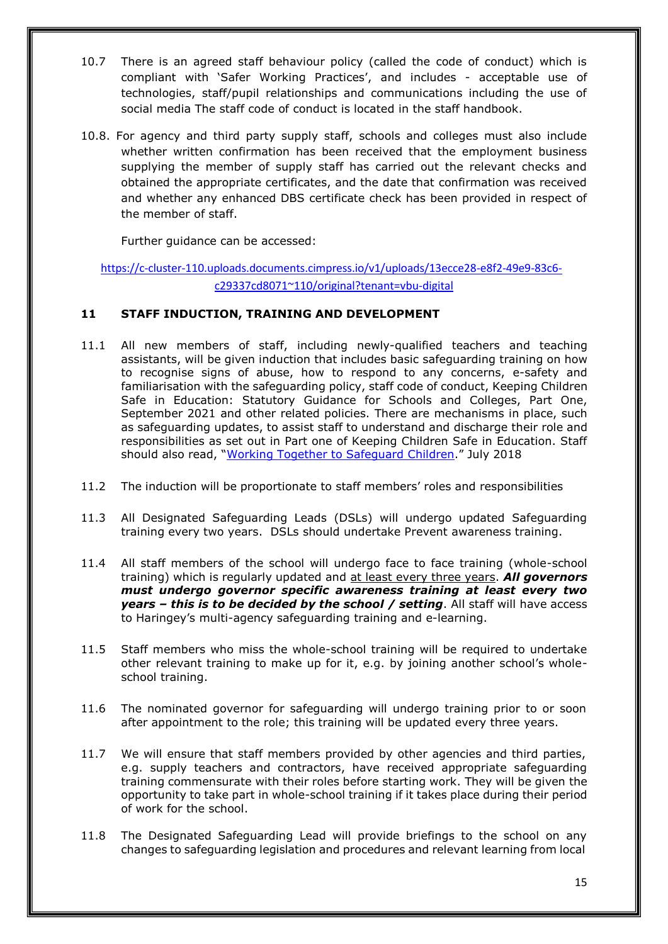- 10.7 There is an agreed staff behaviour policy (called the code of conduct) which is compliant with 'Safer Working Practices', and includes - acceptable use of technologies, staff/pupil relationships and communications including the use of social media The staff code of conduct is located in the staff handbook.
- 10.8. For agency and third party supply staff, schools and colleges must also include whether written confirmation has been received that the employment business supplying the member of supply staff has carried out the relevant checks and obtained the appropriate certificates, and the date that confirmation was received and whether any enhanced DBS certificate check has been provided in respect of the member of staff.

Further guidance can be accessed:

[https://c-cluster-110.uploads.documents.cimpress.io/v1/uploads/13ecce28-e8f2-49e9-83c6](https://c-cluster-110.uploads.documents.cimpress.io/v1/uploads/13ecce28-e8f2-49e9-83c6-c29337cd8071~110/original?tenant=vbu-digital) [c29337cd8071~110/original?tenant=vbu-digital](https://c-cluster-110.uploads.documents.cimpress.io/v1/uploads/13ecce28-e8f2-49e9-83c6-c29337cd8071~110/original?tenant=vbu-digital)

## **11 STAFF INDUCTION, TRAINING AND DEVELOPMENT**

- 11.1 All new members of staff, including newly-qualified teachers and teaching assistants, will be given induction that includes basic safeguarding training on how to recognise signs of abuse, how to respond to any concerns, e-safety and familiarisation with the safeguarding policy, staff code of conduct, Keeping Children Safe in Education: Statutory Guidance for Schools and Colleges, Part One, September 2021 and other related policies. There are mechanisms in place, such as safeguarding updates, to assist staff to understand and discharge their role and responsibilities as set out in Part one of Keeping Children Safe in Education. Staff should also read, "Working Together to [Safeguard](https://www.gov.uk/government/publications/working-together-to-safeguard-children--2) Children." July 2018
- 11.2 The induction will be proportionate to staff members' roles and responsibilities
- 11.3 All Designated Safeguarding Leads (DSLs) will undergo updated Safeguarding training every two years. DSLs should undertake Prevent awareness training.
- 11.4 All staff members of the school will undergo face to face training (whole-school training) which is regularly updated and at least every three years. *All governors must undergo governor specific awareness training at least every two years – this is to be decided by the school / setting*. All staff will have access to Haringey's multi-agency safeguarding training and e-learning.
- 11.5 Staff members who miss the whole-school training will be required to undertake other relevant training to make up for it, e.g. by joining another school's wholeschool training.
- 11.6 The nominated governor for safeguarding will undergo training prior to or soon after appointment to the role; this training will be updated every three years.
- 11.7 We will ensure that staff members provided by other agencies and third parties, e.g. supply teachers and contractors, have received appropriate safeguarding training commensurate with their roles before starting work. They will be given the opportunity to take part in whole-school training if it takes place during their period of work for the school.
- 11.8 The Designated Safeguarding Lead will provide briefings to the school on any changes to safeguarding legislation and procedures and relevant learning from local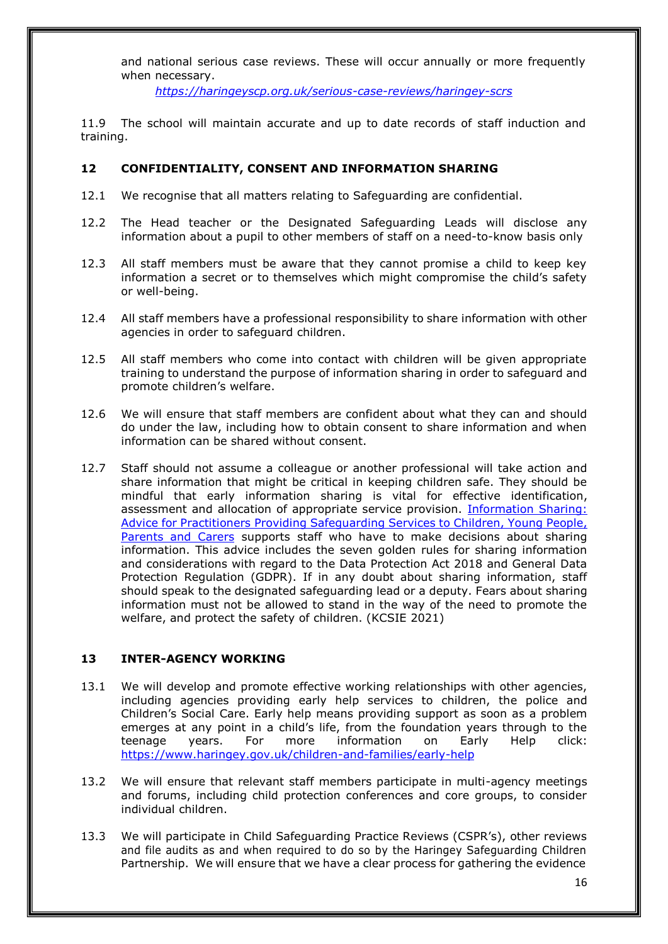and national serious case reviews. These will occur annually or more frequently when necessary.

*<https://haringeyscp.org.uk/serious-case-reviews/haringey-scrs>*

11.9 The school will maintain accurate and up to date records of staff induction and training.

## **12 CONFIDENTIALITY, CONSENT AND INFORMATION SHARING**

- 12.1 We recognise that all matters relating to Safeguarding are confidential.
- 12.2 The Head teacher or the Designated Safeguarding Leads will disclose any information about a pupil to other members of staff on a need-to-know basis only
- 12.3 All staff members must be aware that they cannot promise a child to keep key information a secret or to themselves which might compromise the child's safety or well-being.
- 12.4 All staff members have a professional responsibility to share information with other agencies in order to safeguard children.
- 12.5 All staff members who come into contact with children will be given appropriate training to understand the purpose of information sharing in order to safeguard and promote children's welfare.
- 12.6 We will ensure that staff members are confident about what they can and should do under the law, including how to obtain consent to share information and when information can be shared without consent.
- 12.7 Staff should not assume a colleague or another professional will take action and share information that might be critical in keeping children safe. They should be mindful that early information sharing is vital for effective identification, assessment and allocation of appropriate service provision. [Information Sharing:](https://www.gov.uk/government/publications/safeguarding-practitioners-information-sharing-advice) Advice for Practitioners Providing [Safeguarding](https://www.gov.uk/government/publications/safeguarding-practitioners-information-sharing-advice) Services to Children, Young People, [Parents and Carers](https://www.gov.uk/government/publications/safeguarding-practitioners-information-sharing-advice) supports staff who have to make decisions about sharing information. This advice includes the seven golden rules for sharing information and considerations with regard to the Data Protection Act 2018 and General Data Protection Regulation (GDPR). If in any doubt about sharing information, staff should speak to the designated safeguarding lead or a deputy. Fears about sharing information must not be allowed to stand in the way of the need to promote the welfare, and protect the safety of children. (KCSIE 2021)

## **13 INTER-AGENCY WORKING**

- 13.1 We will develop and promote effective working relationships with other agencies, including agencies providing early help services to children, the police and Children's Social Care. Early help means providing support as soon as a problem emerges at any point in a child's life, from the foundation years through to the teenage years. For more information on Early Help click: <https://www.haringey.gov.uk/children-and-families/early-help>
- 13.2 We will ensure that relevant staff members participate in multi-agency meetings and forums, including child protection conferences and core groups, to consider individual children.
- 13.3 We will participate in Child Safeguarding Practice Reviews (CSPR's), other reviews and file audits as and when required to do so by the Haringey Safeguarding Children Partnership. We will ensure that we have a clear process for gathering the evidence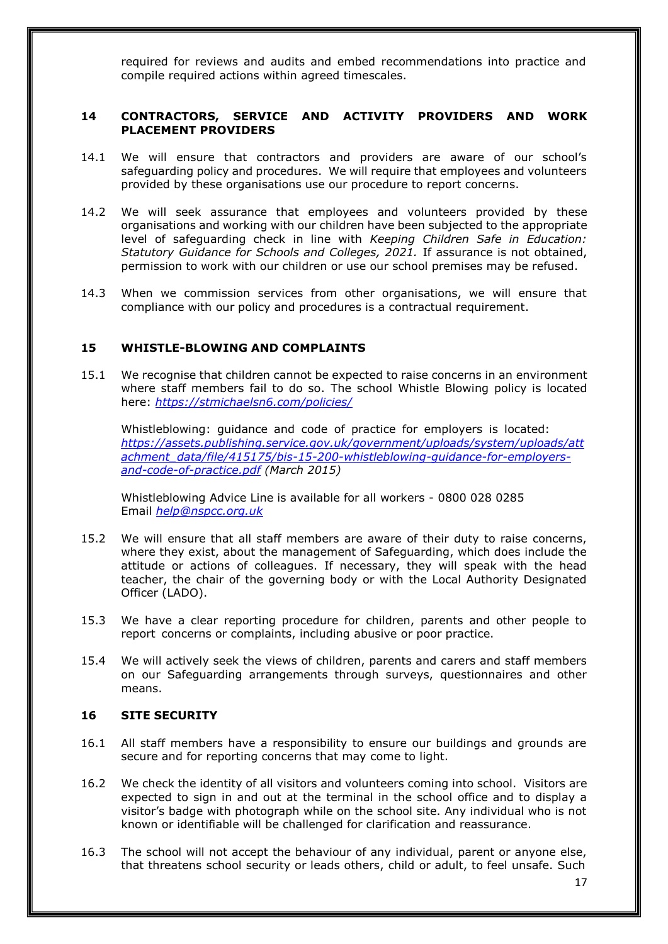required for reviews and audits and embed recommendations into practice and compile required actions within agreed timescales.

## **14 CONTRACTORS, SERVICE AND ACTIVITY PROVIDERS AND WORK PLACEMENT PROVIDERS**

- 14.1 We will ensure that contractors and providers are aware of our school's safeguarding policy and procedures. We will require that employees and volunteers provided by these organisations use our procedure to report concerns.
- 14.2 We will seek assurance that employees and volunteers provided by these organisations and working with our children have been subjected to the appropriate level of safeguarding check in line with *Keeping Children Safe in Education: Statutory Guidance for Schools and Colleges, 2021.* If assurance is not obtained, permission to work with our children or use our school premises may be refused.
- 14.3 When we commission services from other organisations, we will ensure that compliance with our policy and procedures is a contractual requirement.

## **15 WHISTLE-BLOWING AND COMPLAINTS**

15.1 We recognise that children cannot be expected to raise concerns in an environment where staff members fail to do so. The school Whistle Blowing policy is located here: *<https://stmichaelsn6.com/policies/>*

Whistleblowing: guidance and code of practice for employers is located: *[https://assets.publishing.service.gov.uk/government/uploads/system/uploads/att](https://assets.publishing.service.gov.uk/government/uploads/system/uploads/attachment_data/file/415175/bis-15-200-whistleblowing-guidance-for-employers-and-code-of-practice.pdf) [achment\\_data/file/415175/bis-15-200-whistleblowing-guidance-for-employers](https://assets.publishing.service.gov.uk/government/uploads/system/uploads/attachment_data/file/415175/bis-15-200-whistleblowing-guidance-for-employers-and-code-of-practice.pdf)[and-code-of-practice.pdf](https://assets.publishing.service.gov.uk/government/uploads/system/uploads/attachment_data/file/415175/bis-15-200-whistleblowing-guidance-for-employers-and-code-of-practice.pdf) (March 2015)*

Whistleblowing Advice Line is available for all workers - 0800 028 0285 Email *[help@nspcc.org.uk](mailto:help@nspcc.org.uk)*

- 15.2 We will ensure that all staff members are aware of their duty to raise concerns, where they exist, about the management of Safeguarding, which does include the attitude or actions of colleagues. If necessary, they will speak with the head teacher, the chair of the governing body or with the Local Authority Designated Officer (LADO).
- 15.3 We have a clear reporting procedure for children, parents and other people to report concerns or complaints, including abusive or poor practice.
- 15.4 We will actively seek the views of children, parents and carers and staff members on our Safeguarding arrangements through surveys, questionnaires and other means.

#### **16 SITE SECURITY**

- 16.1 All staff members have a responsibility to ensure our buildings and grounds are secure and for reporting concerns that may come to light.
- 16.2 We check the identity of all visitors and volunteers coming into school. Visitors are expected to sign in and out at the terminal in the school office and to display a visitor's badge with photograph while on the school site. Any individual who is not known or identifiable will be challenged for clarification and reassurance.
- 16.3 The school will not accept the behaviour of any individual, parent or anyone else, that threatens school security or leads others, child or adult, to feel unsafe. Such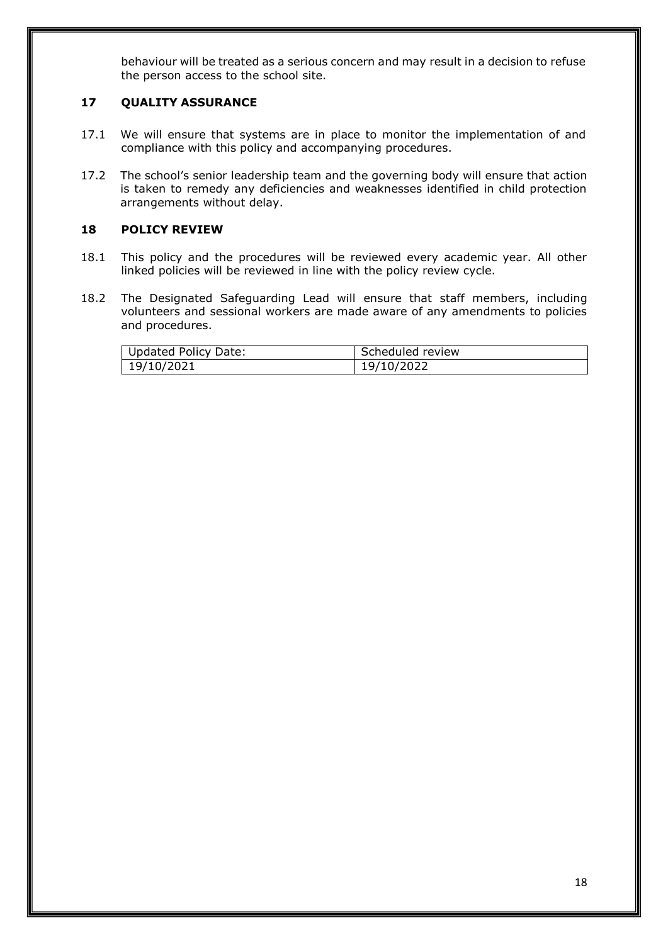behaviour will be treated as a serious concern and may result in a decision to refuse the person access to the school site.

## **17 QUALITY ASSURANCE**

- 17.1 We will ensure that systems are in place to monitor the implementation of and compliance with this policy and accompanying procedures.
- 17.2 The school's senior leadership team and the governing body will ensure that action is taken to remedy any deficiencies and weaknesses identified in child protection arrangements without delay.

## **18 POLICY REVIEW**

- 18.1 This policy and the procedures will be reviewed every academic year. All other linked policies will be reviewed in line with the policy review cycle.
- 18.2 The Designated Safeguarding Lead will ensure that staff members, including volunteers and sessional workers are made aware of any amendments to policies and procedures.

| <b>Updated Policy Date:</b> | Scheduled review |
|-----------------------------|------------------|
| 19/10/2021                  | 19/10/2022       |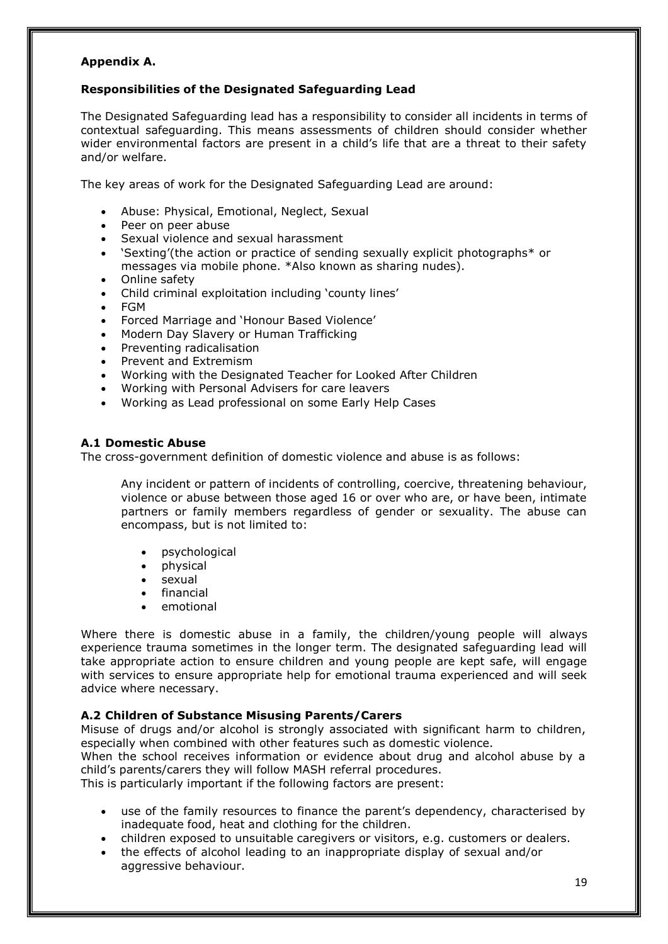## **Appendix A.**

#### **Responsibilities of the Designated Safeguarding Lead**

The Designated Safeguarding lead has a responsibility to consider all incidents in terms of contextual safeguarding. This means assessments of children should consider whether wider environmental factors are present in a child's life that are a threat to their safety and/or welfare.

The key areas of work for the Designated Safeguarding Lead are around:

- Abuse: Physical, Emotional, Neglect, Sexual
- Peer on peer abuse
- Sexual violence and sexual harassment
- 'Sexting'(the action or practice of sending sexually explicit photographs\* or messages via mobile phone. \*Also known as sharing nudes).
- Online safety
- Child criminal exploitation including 'county lines'
- FGM
- Forced Marriage and 'Honour Based Violence'
- Modern Day Slavery or Human Trafficking
- Preventing radicalisation
- Prevent and Extremism
- Working with the Designated Teacher for Looked After Children
- Working with Personal Advisers for care leavers
- Working as Lead professional on some Early Help Cases

## **A.1 Domestic Abuse**

The cross-government definition of domestic violence and abuse is as follows:

Any incident or pattern of incidents of controlling, coercive, threatening behaviour, violence or abuse between those aged 16 or over who are, or have been, intimate partners or family members regardless of gender or sexuality. The abuse can encompass, but is not limited to:

- psychological
- physical
- sexual
- financial
- emotional

Where there is domestic abuse in a family, the children/young people will always experience trauma sometimes in the longer term. The designated safeguarding lead will take appropriate action to ensure children and young people are kept safe, will engage with services to ensure appropriate help for emotional trauma experienced and will seek advice where necessary.

## **A.2 Children of Substance Misusing Parents/Carers**

Misuse of drugs and/or alcohol is strongly associated with significant harm to children, especially when combined with other features such as domestic violence.

When the school receives information or evidence about drug and alcohol abuse by a child's parents/carers they will follow MASH referral procedures.

This is particularly important if the following factors are present:

- use of the family resources to finance the parent's dependency, characterised by inadequate food, heat and clothing for the children.
- children exposed to unsuitable caregivers or visitors, e.g. customers or dealers.
- the effects of alcohol leading to an inappropriate display of sexual and/or aggressive behaviour.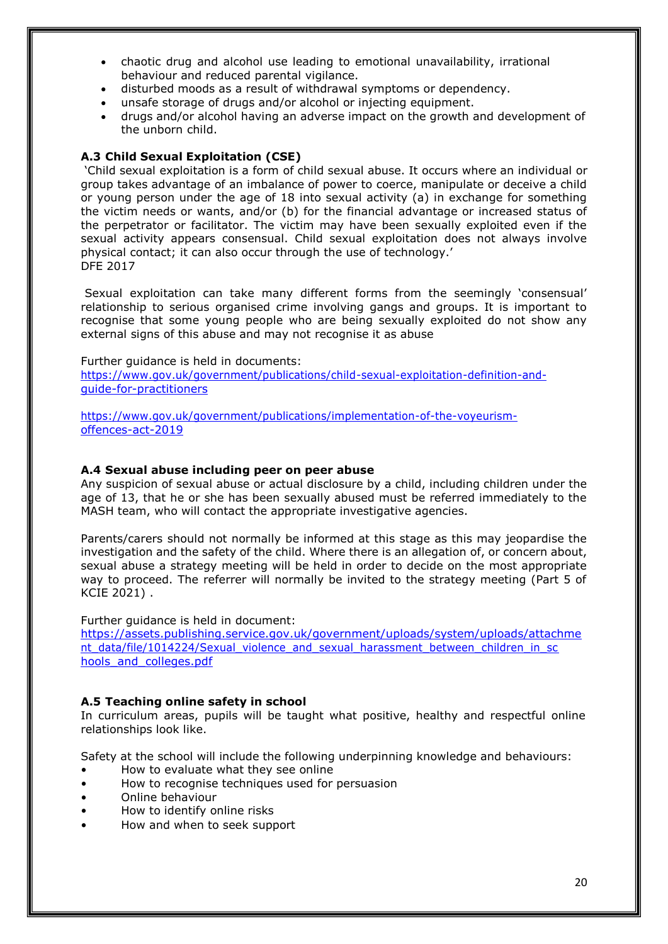- chaotic drug and alcohol use leading to emotional unavailability, irrational behaviour and reduced parental vigilance.
- disturbed moods as a result of withdrawal symptoms or dependency.
- unsafe storage of drugs and/or alcohol or injecting equipment.
- drugs and/or alcohol having an adverse impact on the growth and development of the unborn child.

#### **A.3 Child Sexual Exploitation (CSE)**

'Child sexual exploitation is a form of child sexual abuse. It occurs where an individual or group takes advantage of an imbalance of power to coerce, manipulate or deceive a child or young person under the age of 18 into sexual activity (a) in exchange for something the victim needs or wants, and/or (b) for the financial advantage or increased status of the perpetrator or facilitator. The victim may have been sexually exploited even if the sexual activity appears consensual. Child sexual exploitation does not always involve physical contact; it can also occur through the use of technology.' DFE 2017

Sexual exploitation can take many different forms from the seemingly 'consensual' relationship to serious organised crime involving gangs and groups. It is important to recognise that some young people who are being sexually exploited do not show any external signs of this abuse and may not recognise it as abuse

Further guidance is held in documents: [https://www.gov.uk/government/publications/child-sexual-exploitation-definition-and](https://www.gov.uk/government/publications/child-sexual-exploitation-definition-and-guide-for-practitioners)[guide-for-practitioners](https://www.gov.uk/government/publications/child-sexual-exploitation-definition-and-guide-for-practitioners)

[https://www.gov.uk/government/publications/implementation-of-the-voyeurism](https://www.gov.uk/government/publications/implementation-of-the-voyeurism-offences-act-2019)[offences-act-2019](https://www.gov.uk/government/publications/implementation-of-the-voyeurism-offences-act-2019)

#### **A.4 Sexual abuse including peer on peer abuse**

Any suspicion of sexual abuse or actual disclosure by a child, including children under the age of 13, that he or she has been sexually abused must be referred immediately to the MASH team, who will contact the appropriate investigative agencies.

Parents/carers should not normally be informed at this stage as this may jeopardise the investigation and the safety of the child. Where there is an allegation of, or concern about, sexual abuse a strategy meeting will be held in order to decide on the most appropriate way to proceed. The referrer will normally be invited to the strategy meeting (Part 5 of KCIE 2021) .

#### Further guidance is held in document:

[https://assets.publishing.service.gov.uk/government/uploads/system/uploads/attachme](https://assets.publishing.service.gov.uk/government/uploads/system/uploads/attachment_data/file/1014224/Sexual_violence_and_sexual_harassment_between_children_in_schools_and_colleges.pdf) [nt\\_data/file/1014224/Sexual\\_violence\\_and\\_sexual\\_harassment\\_between\\_children\\_in\\_sc](https://assets.publishing.service.gov.uk/government/uploads/system/uploads/attachment_data/file/1014224/Sexual_violence_and_sexual_harassment_between_children_in_schools_and_colleges.pdf) [hools\\_and\\_colleges.pdf](https://assets.publishing.service.gov.uk/government/uploads/system/uploads/attachment_data/file/1014224/Sexual_violence_and_sexual_harassment_between_children_in_schools_and_colleges.pdf)

#### **A.5 Teaching online safety in school**

In curriculum areas, pupils will be taught what positive, healthy and respectful online relationships look like.

Safety at the school will include the following underpinning knowledge and behaviours:

- How to evaluate what they see online
- How to recognise techniques used for persuasion
- Online behaviour
- How to identify online risks
- How and when to seek support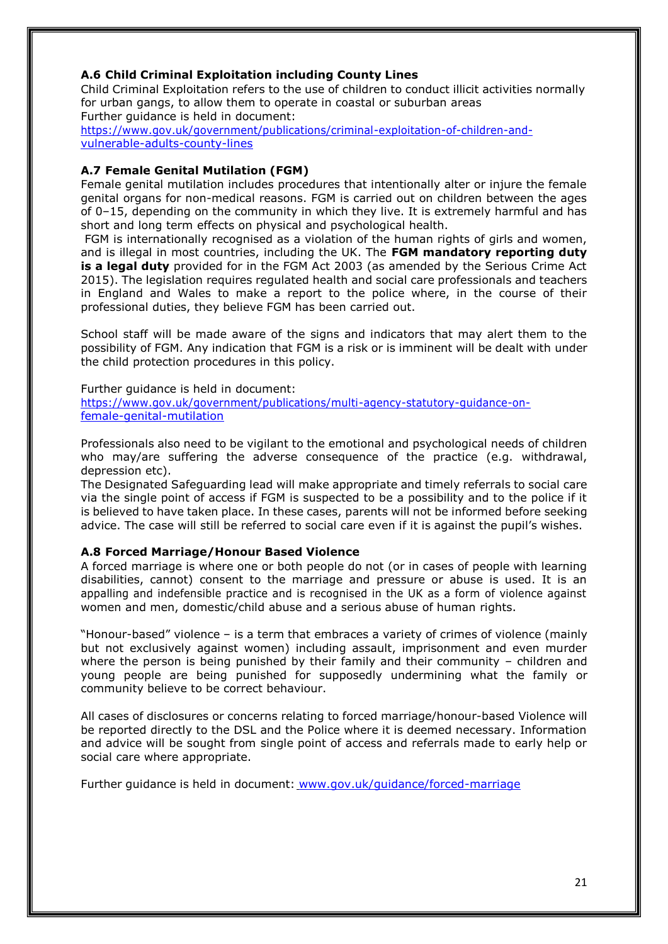## **A.6 Child Criminal Exploitation including County Lines**

Child Criminal Exploitation refers to the use of children to conduct illicit activities normally for urban gangs, to allow them to operate in coastal or suburban areas Further guidance is held in document:

[https://www.gov.uk/government/publications/criminal-exploitation-of-children-and](https://www.gov.uk/government/publications/criminal-exploitation-of-children-and-vulnerable-adults-county-lines)[vulnerable-adults-county-lines](https://www.gov.uk/government/publications/criminal-exploitation-of-children-and-vulnerable-adults-county-lines)

## **A.7 Female Genital Mutilation (FGM)**

Female genital mutilation includes procedures that intentionally alter or injure the female genital organs for non-medical reasons. FGM is carried out on children between the ages of 0–15, depending on the community in which they live. It is extremely harmful and has short and long term effects on physical and psychological health.

FGM is internationally recognised as a violation of the human rights of girls and women, and is illegal in most countries, including the UK. The **FGM mandatory reporting duty is a legal duty** provided for in the FGM Act 2003 (as amended by the Serious Crime Act 2015). The legislation requires regulated health and social care professionals and teachers in England and Wales to make a report to the police where, in the course of their professional duties, they believe FGM has been carried out.

School staff will be made aware of the signs and indicators that may alert them to the possibility of FGM. Any indication that FGM is a risk or is imminent will be dealt with under the child protection procedures in this policy.

Further guidance is held in document: [https://www.gov.uk/government/publications/multi-agency-statutory-guidance-on](https://www.gov.uk/government/publications/multi-agency-statutory-guidance-on-female-genital-mutilation)[female-genital-mutilation](https://www.gov.uk/government/publications/multi-agency-statutory-guidance-on-female-genital-mutilation)

Professionals also need to be vigilant to the emotional and psychological needs of children who may/are suffering the adverse consequence of the practice (e.g. withdrawal, depression etc).

The Designated Safeguarding lead will make appropriate and timely referrals to social care via the single point of access if FGM is suspected to be a possibility and to the police if it is believed to have taken place. In these cases, parents will not be informed before seeking advice. The case will still be referred to social care even if it is against the pupil's wishes.

#### **A.8 Forced Marriage/Honour Based Violence**

A forced marriage is where one or both people do not (or in cases of people with learning disabilities, cannot) consent to the marriage and pressure or abuse is used. It is an appalling and indefensible practice and is recognised in the UK as a form of violence against women and men, domestic/child abuse and a serious abuse of human rights.

"Honour-based" violence – is a term that embraces a variety of crimes of violence (mainly but not exclusively against women) including assault, imprisonment and even murder where the person is being punished by their family and their community - children and young people are being punished for supposedly undermining what the family or community believe to be correct behaviour.

All cases of disclosures or concerns relating to forced marriage/honour-based Violence will be reported directly to the DSL and the Police where it is deemed necessary. Information and advice will be sought from single point of access and referrals made to early help or social care where appropriate.

Further guidance is held in document: [www.gov.uk/guidance/forced-marriage](http://www.gov.uk/guidance/forced-marriage)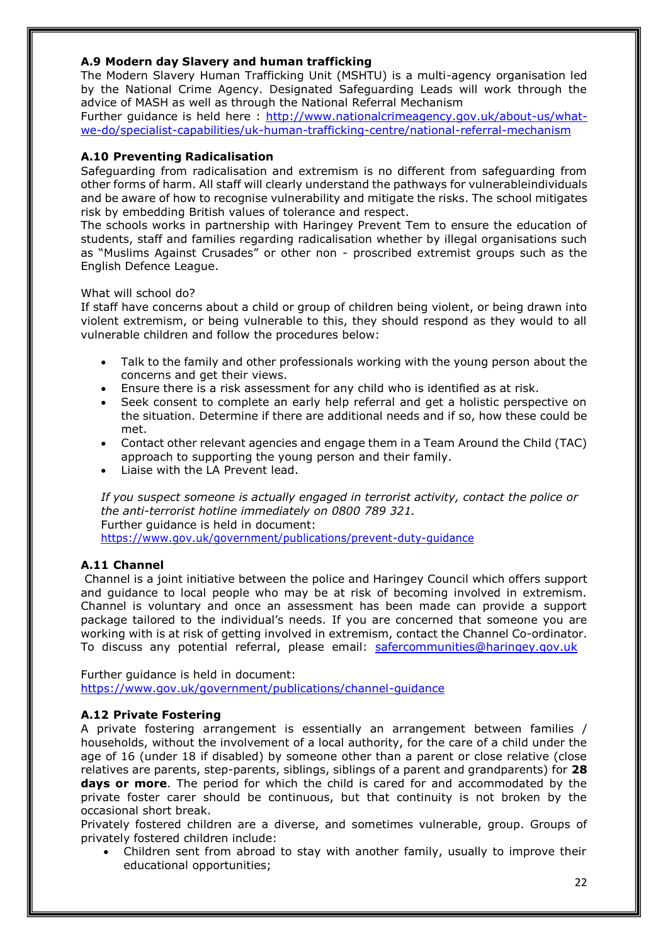## **A.9 Modern day Slavery and human trafficking**

The Modern Slavery Human Trafficking Unit (MSHTU) is a multi-agency organisation led by the National Crime Agency. Designated Safeguarding Leads will work through the advice of MASH as well as through the National Referral Mechanism

Further guidance is held here : [http://www.nationalcrimeagency.gov.uk/about-us/what](http://www.nationalcrimeagency.gov.uk/about-us/what-we-do/specialist-capabilities/uk-human-trafficking-centre/national-referral-mechanism)[we-do/specialist-capabilities/uk-human-trafficking-centre/national-referral-mechanism](http://www.nationalcrimeagency.gov.uk/about-us/what-we-do/specialist-capabilities/uk-human-trafficking-centre/national-referral-mechanism)

#### **A.10 Preventing Radicalisation**

Safeguarding from radicalisation and extremism is no different from safeguarding from other forms of harm. All staff will clearly understand the pathways for vulnerableindividuals and be aware of how to recognise vulnerability and mitigate the risks. The school mitigates risk by embedding British values of tolerance and respect.

The schools works in partnership with Haringey Prevent Tem to ensure the education of students, staff and families regarding radicalisation whether by illegal organisations such as "Muslims Against Crusades" or other non - proscribed extremist groups such as the English Defence League.

#### What will school do?

If staff have concerns about a child or group of children being violent, or being drawn into violent extremism, or being vulnerable to this, they should respond as they would to all vulnerable children and follow the procedures below:

- Talk to the family and other professionals working with the young person about the concerns and get their views.
- Ensure there is a risk assessment for any child who is identified as at risk.
- Seek consent to complete an early help referral and get a holistic perspective on the situation. Determine if there are additional needs and if so, how these could be met.
- Contact other relevant agencies and engage them in a Team Around the Child (TAC) approach to supporting the young person and their family.
- Liaise with the LA Prevent lead.

*If you suspect someone is actually engaged in terrorist activity, contact the police or the anti-terrorist hotline immediately on 0800 789 321.* Further guidance is held in document: <https://www.gov.uk/government/publications/prevent-duty-guidance>

#### **A.11 Channel**

Channel is a joint initiative between the police and Haringey Council which offers support and guidance to local people who may be at risk of becoming involved in extremism. Channel is voluntary and once an assessment has been made can provide a support package tailored to the individual's needs. If you are concerned that someone you are working with is at risk of getting involved in extremism, contact the Channel Co-ordinator. To discuss any potential referral, please email: [safercommunities@haringey.gov.uk](mailto:safercommunities@haringey.gov.uk)

Further guidance is held in document: <https://www.gov.uk/government/publications/channel-guidance>

#### **A.12 Private Fostering**

A private fostering arrangement is essentially an arrangement between families / households, without the involvement of a local authority, for the care of a child under the age of 16 (under 18 if disabled) by someone other than a parent or close relative (close relatives are parents, step-parents, siblings, siblings of a parent and grandparents) for **28 days or more**. The period for which the child is cared for and accommodated by the private foster carer should be continuous, but that continuity is not broken by the occasional short break.

Privately fostered children are a diverse, and sometimes vulnerable, group. Groups of privately fostered children include:

• Children sent from abroad to stay with another family, usually to improve their educational opportunities;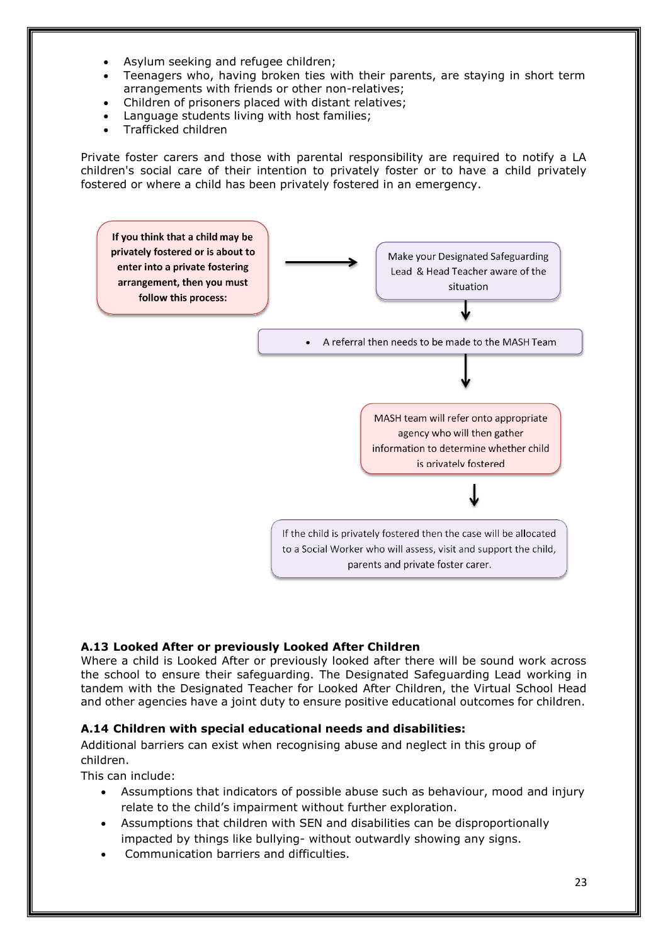- Asylum seeking and refugee children;
- Teenagers who, having broken ties with their parents, are staying in short term arrangements with friends or other non-relatives;
- Children of prisoners placed with distant relatives;
- Language students living with host families;
- Trafficked children

Private foster carers and those with parental responsibility are required to notify a LA children's social care of their intention to privately foster or to have a child privately fostered or where a child has been privately fostered in an emergency.



## **A.13 Looked After or previously Looked After Children**

Where a child is Looked After or previously looked after there will be sound work across the school to ensure their safeguarding. The Designated Safeguarding Lead working in tandem with the Designated Teacher for Looked After Children, the Virtual School Head and other agencies have a joint duty to ensure positive educational outcomes for children.

## **A.14 Children with special educational needs and disabilities:**

Additional barriers can exist when recognising abuse and neglect in this group of children.

This can include:

- Assumptions that indicators of possible abuse such as behaviour, mood and injury relate to the child's impairment without further exploration.
- Assumptions that children with SEN and disabilities can be disproportionally impacted by things like bullying- without outwardly showing any signs.
- Communication barriers and difficulties.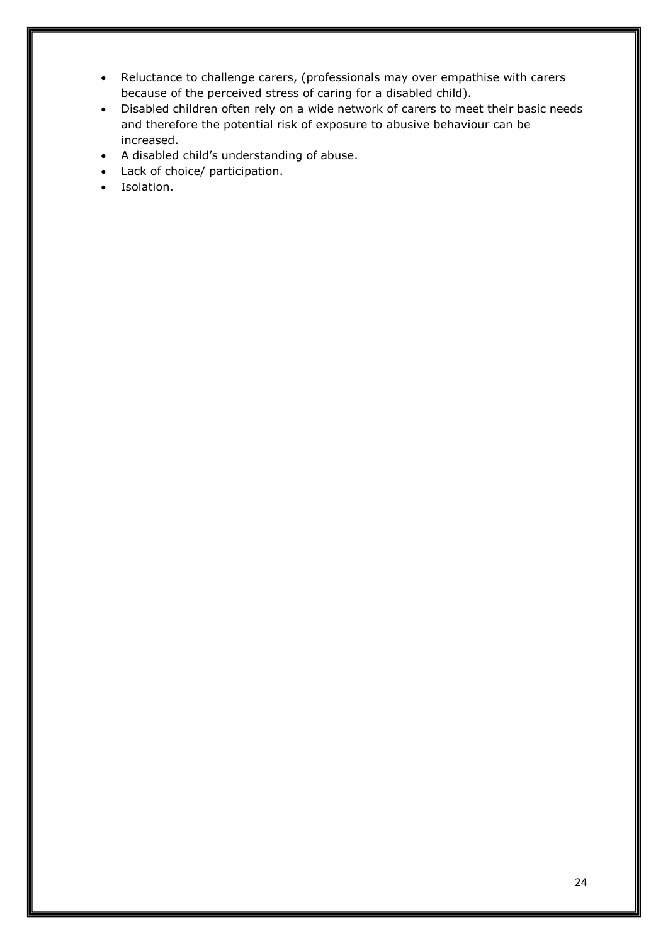- Reluctance to challenge carers, (professionals may over empathise with carers because of the perceived stress of caring for a disabled child).
- Disabled children often rely on a wide network of carers to meet their basic needs and therefore the potential risk of exposure to abusive behaviour can be increased.
- A disabled child's understanding of abuse.
- Lack of choice/ participation.
- Isolation.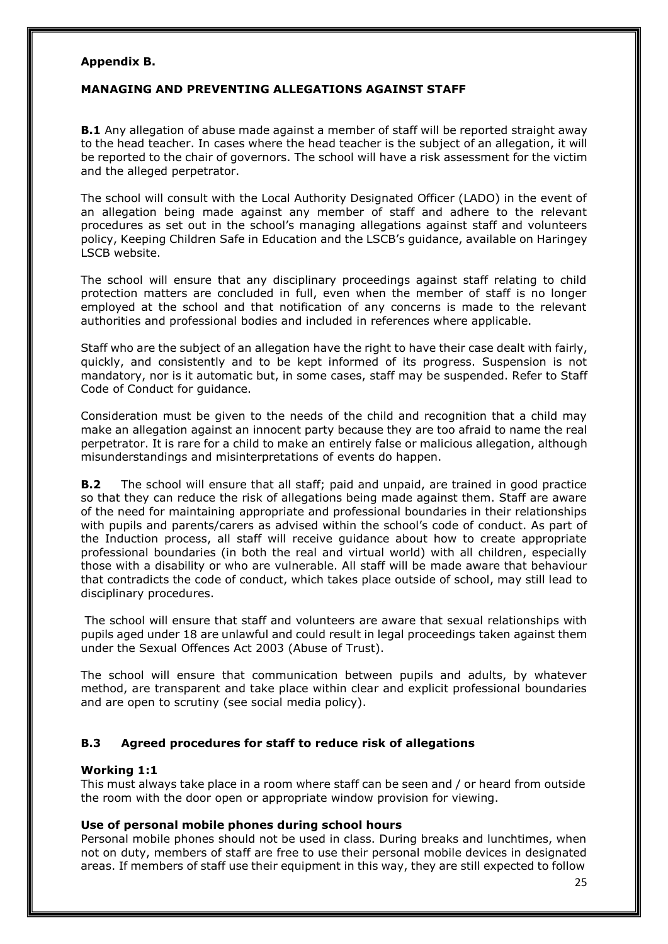#### **Appendix B.**

## **MANAGING AND PREVENTING ALLEGATIONS AGAINST STAFF**

**B.1** Any allegation of abuse made against a member of staff will be reported straight away to the head teacher. In cases where the head teacher is the subject of an allegation, it will be reported to the chair of governors. The school will have a risk assessment for the victim and the alleged perpetrator.

The school will consult with the Local Authority Designated Officer (LADO) in the event of an allegation being made against any member of staff and adhere to the relevant procedures as set out in the school's managing allegations against staff and volunteers policy, Keeping Children Safe in Education and the LSCB's guidance, available on Haringey LSCB website.

The school will ensure that any disciplinary proceedings against staff relating to child protection matters are concluded in full, even when the member of staff is no longer employed at the school and that notification of any concerns is made to the relevant authorities and professional bodies and included in references where applicable.

Staff who are the subject of an allegation have the right to have their case dealt with fairly, quickly, and consistently and to be kept informed of its progress. Suspension is not mandatory, nor is it automatic but, in some cases, staff may be suspended. Refer to Staff Code of Conduct for guidance.

Consideration must be given to the needs of the child and recognition that a child may make an allegation against an innocent party because they are too afraid to name the real perpetrator. It is rare for a child to make an entirely false or malicious allegation, although misunderstandings and misinterpretations of events do happen.

**B.2** The school will ensure that all staff; paid and unpaid, are trained in good practice so that they can reduce the risk of allegations being made against them. Staff are aware of the need for maintaining appropriate and professional boundaries in their relationships with pupils and parents/carers as advised within the school's code of conduct. As part of the Induction process, all staff will receive guidance about how to create appropriate professional boundaries (in both the real and virtual world) with all children, especially those with a disability or who are vulnerable. All staff will be made aware that behaviour that contradicts the code of conduct, which takes place outside of school, may still lead to disciplinary procedures.

The school will ensure that staff and volunteers are aware that sexual relationships with pupils aged under 18 are unlawful and could result in legal proceedings taken against them under the Sexual Offences Act 2003 (Abuse of Trust).

The school will ensure that communication between pupils and adults, by whatever method, are transparent and take place within clear and explicit professional boundaries and are open to scrutiny (see social media policy).

## **B.3 Agreed procedures for staff to reduce risk of allegations**

## **Working 1:1**

This must always take place in a room where staff can be seen and / or heard from outside the room with the door open or appropriate window provision for viewing.

#### **Use of personal mobile phones during school hours**

Personal mobile phones should not be used in class. During breaks and lunchtimes, when not on duty, members of staff are free to use their personal mobile devices in designated areas. If members of staff use their equipment in this way, they are still expected to follow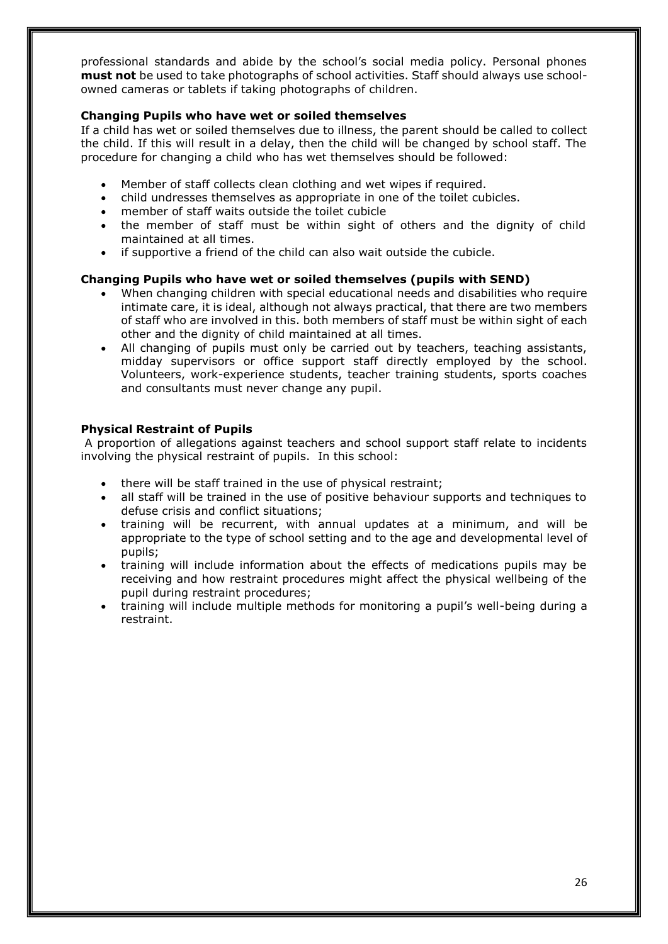professional standards and abide by the school's social media policy. Personal phones **must not** be used to take photographs of school activities. Staff should always use schoolowned cameras or tablets if taking photographs of children.

## **Changing Pupils who have wet or soiled themselves**

If a child has wet or soiled themselves due to illness, the parent should be called to collect the child. If this will result in a delay, then the child will be changed by school staff. The procedure for changing a child who has wet themselves should be followed:

- Member of staff collects clean clothing and wet wipes if required.
- child undresses themselves as appropriate in one of the toilet cubicles.
- member of staff waits outside the toilet cubicle
- the member of staff must be within sight of others and the dignity of child maintained at all times.
- if supportive a friend of the child can also wait outside the cubicle.

## **Changing Pupils who have wet or soiled themselves (pupils with SEND)**

- When changing children with special educational needs and disabilities who require intimate care, it is ideal, although not always practical, that there are two members of staff who are involved in this. both members of staff must be within sight of each other and the dignity of child maintained at all times.
- All changing of pupils must only be carried out by teachers, teaching assistants, midday supervisors or office support staff directly employed by the school. Volunteers, work-experience students, teacher training students, sports coaches and consultants must never change any pupil.

#### **Physical Restraint of Pupils**

A proportion of allegations against teachers and school support staff relate to incidents involving the physical restraint of pupils. In this school:

- there will be staff trained in the use of physical restraint;
- all staff will be trained in the use of positive behaviour supports and techniques to defuse crisis and conflict situations;
- training will be recurrent, with annual updates at a minimum, and will be appropriate to the type of school setting and to the age and developmental level of pupils;
- training will include information about the effects of medications pupils may be receiving and how restraint procedures might affect the physical wellbeing of the pupil during restraint procedures;
- training will include multiple methods for monitoring a pupil's well-being during a restraint.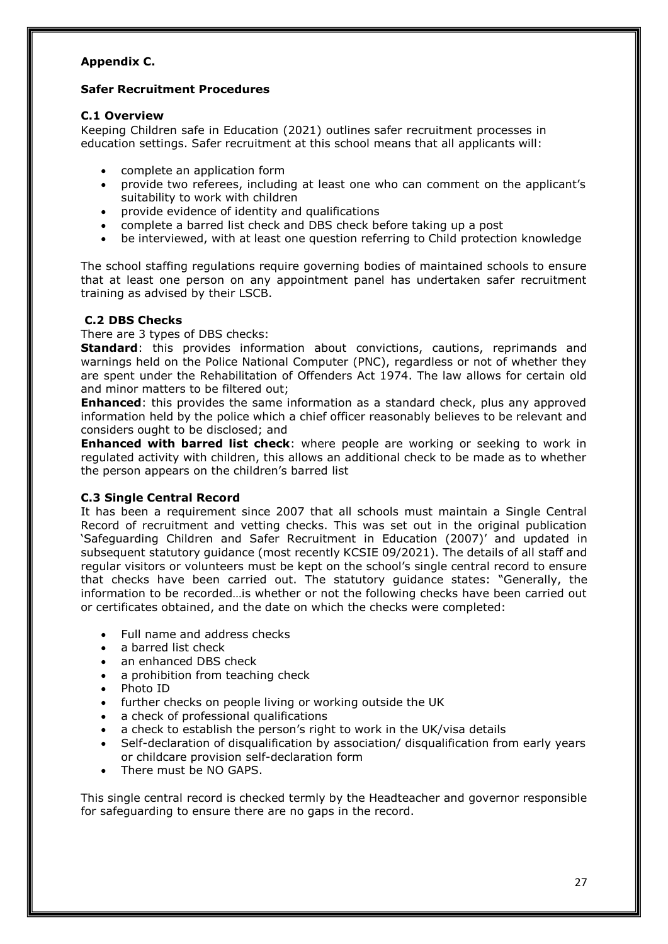## **Appendix C.**

## **Safer Recruitment Procedures**

#### **C.1 Overview**

Keeping Children safe in Education (2021) outlines safer recruitment processes in education settings. Safer recruitment at this school means that all applicants will:

- complete an application form
- provide two referees, including at least one who can comment on the applicant's suitability to work with children
- provide evidence of identity and qualifications
- complete a barred list check and DBS check before taking up a post
- be interviewed, with at least one question referring to Child protection knowledge

The school staffing regulations require governing bodies of maintained schools to ensure that at least one person on any appointment panel has undertaken safer recruitment training as advised by their LSCB.

## **C.2 DBS Checks**

There are 3 types of DBS checks:

**Standard**: this provides information about convictions, cautions, reprimands and warnings held on the Police National Computer (PNC), regardless or not of whether they are spent under the Rehabilitation of Offenders Act 1974. The law allows for certain old and minor matters to be filtered out;

**Enhanced**: this provides the same information as a standard check, plus any approved information held by the police which a chief officer reasonably believes to be relevant and considers ought to be disclosed; and

**Enhanced with barred list check**: where people are working or seeking to work in regulated activity with children, this allows an additional check to be made as to whether the person appears on the children's barred list

## **C.3 Single Central Record**

It has been a requirement since 2007 that all schools must maintain a Single Central Record of recruitment and vetting checks. This was set out in the original publication 'Safeguarding Children and Safer Recruitment in Education (2007)' and updated in subsequent statutory guidance (most recently KCSIE 09/2021). The details of all staff and regular visitors or volunteers must be kept on the school's single central record to ensure that checks have been carried out. The statutory guidance states: "Generally, the information to be recorded…is whether or not the following checks have been carried out or certificates obtained, and the date on which the checks were completed:

- Full name and address checks
- a barred list check
- an enhanced DBS check
- a prohibition from teaching check
- Photo ID
- further checks on people living or working outside the UK
- a check of professional qualifications
- a check to establish the person's right to work in the UK/visa details
- Self-declaration of disqualification by association/ disqualification from early years or childcare provision self-declaration form
- There must be NO GAPS.

This single central record is checked termly by the Headteacher and governor responsible for safeguarding to ensure there are no gaps in the record.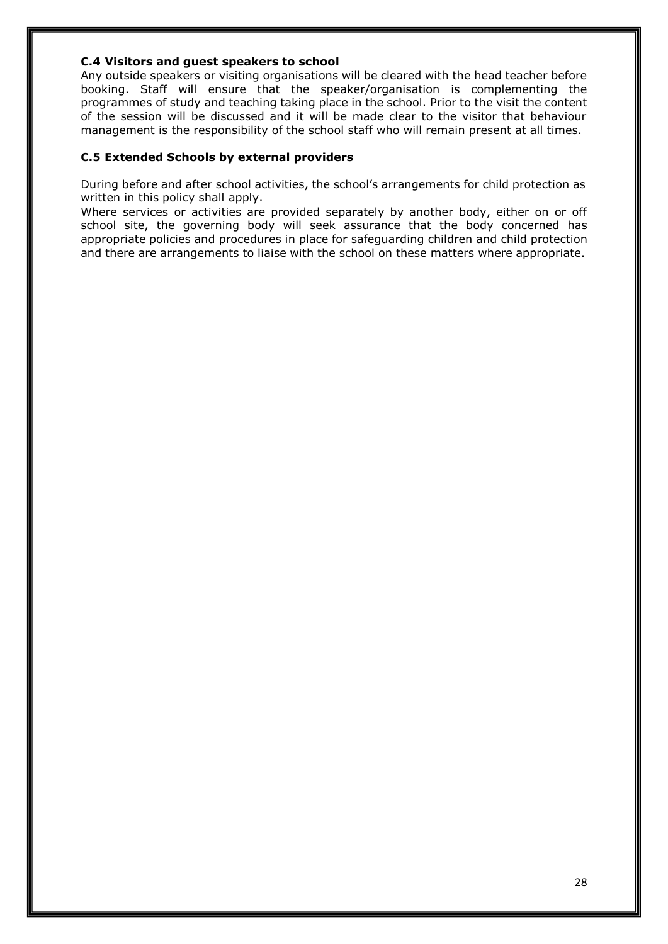#### **C.4 Visitors and guest speakers to school**

Any outside speakers or visiting organisations will be cleared with the head teacher before booking. Staff will ensure that the speaker/organisation is complementing the programmes of study and teaching taking place in the school. Prior to the visit the content of the session will be discussed and it will be made clear to the visitor that behaviour management is the responsibility of the school staff who will remain present at all times.

## **C.5 Extended Schools by external providers**

During before and after school activities, the school's arrangements for child protection as written in this policy shall apply.

Where services or activities are provided separately by another body, either on or off school site, the governing body will seek assurance that the body concerned has appropriate policies and procedures in place for safeguarding children and child protection and there are arrangements to liaise with the school on these matters where appropriate.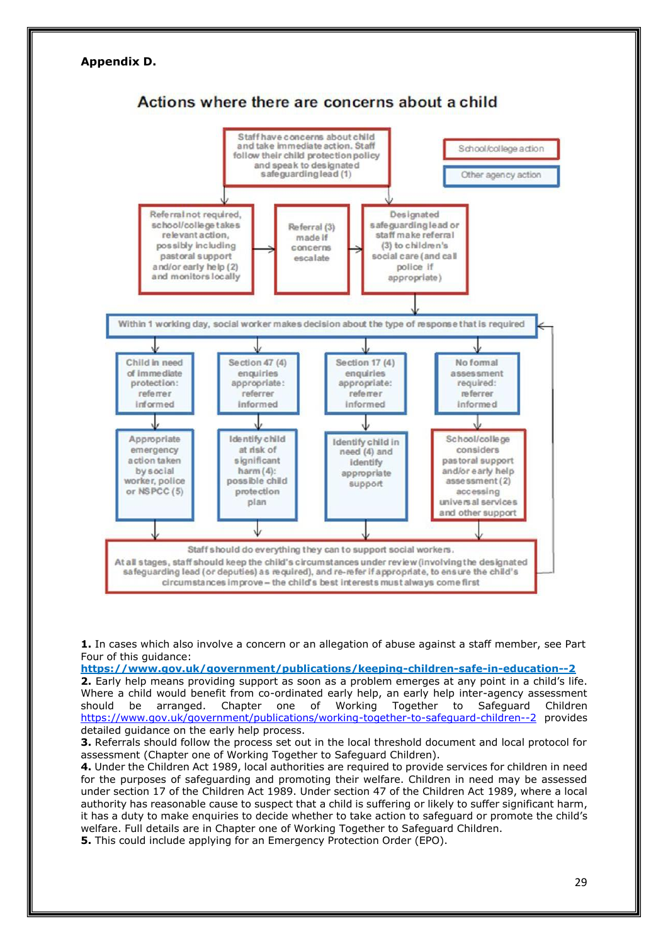

**1.** In cases which also involve a concern or an allegation of abuse against a staff member, see Part Four of this guidance:

**<https://www.gov.uk/government/publications/keeping-children-safe-in-education--2> 2.** Early help means providing support as soon as a problem emerges at any point in a child's life. Where a child would benefit from co-ordinated early help, an early help inter-agency assessment should be arranged. Chapter one of Working Together to Safeguard Children <https://www.gov.uk/government/publications/working-together-to-safeguard-children--2> provides detailed guidance on the early help process.

**3.** Referrals should follow the process set out in the local threshold document and local protocol for assessment (Chapter one of Working Together to Safeguard Children).

**4.** Under the Children Act 1989, local authorities are required to provide services for children in need for the purposes of safeguarding and promoting their welfare. Children in need may be assessed under section 17 of the Children Act 1989. Under section 47 of the Children Act 1989, where a local authority has reasonable cause to suspect that a child is suffering or likely to suffer significant harm, it has a duty to make enquiries to decide whether to take action to safeguard or promote the child's welfare. Full details are in Chapter one of Working Together to Safeguard Children. **5.** This could include applying for an Emergency Protection Order (EPO).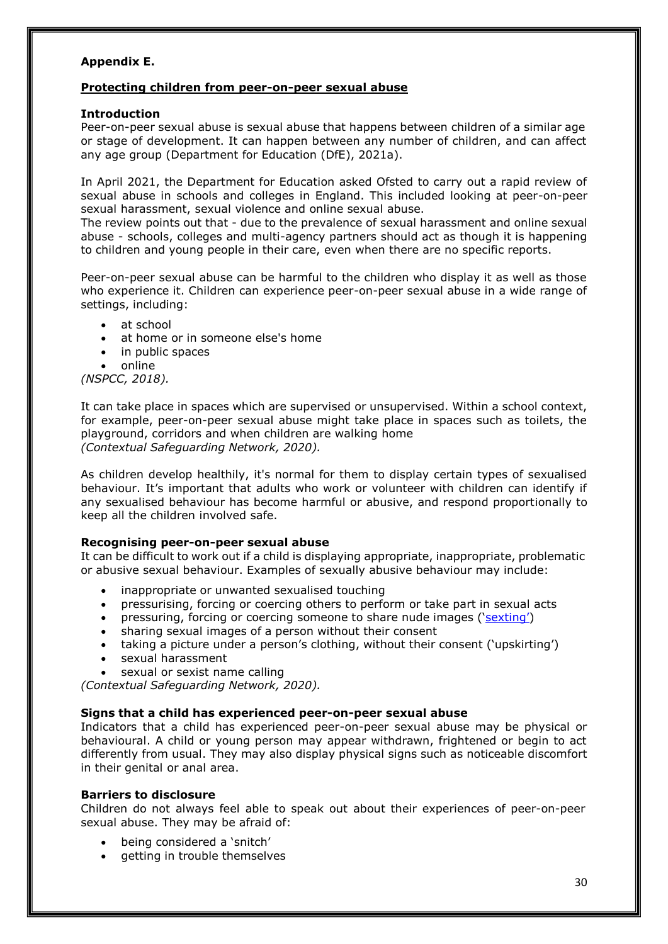## **Appendix E.**

#### **Protecting children from peer-on-peer sexual abuse**

#### **Introduction**

Peer-on-peer sexual abuse is sexual abuse that happens between children of a similar age or stage of development. It can happen between any number of children, and can affect any age group (Department for Education (DfE), 2021a).

In April 2021, the Department for Education asked Ofsted to carry out a rapid review of sexual abuse in schools and colleges in England. This included looking at peer-on-peer sexual harassment, sexual violence and online sexual abuse.

The review points out that - due to the prevalence of sexual harassment and online sexual abuse - schools, colleges and multi-agency partners should act as though it is happening to children and young people in their care, even when there are no specific reports.

Peer-on-peer sexual abuse can be harmful to the children who display it as well as those who experience it. Children can experience peer-on-peer sexual abuse in a wide range of settings, including:

- at school
- at home or in someone else's home
- in public spaces
- online

*(NSPCC, 2018).*

It can take place in spaces which are supervised or unsupervised. Within a school context, for example, peer-on-peer sexual abuse might take place in spaces such as toilets, the playground, corridors and when children are walking home *(Contextual Safeguarding Network, 2020).*

As children develop healthily, it's normal for them to display certain types of sexualised behaviour. It's important that adults who work or volunteer with children can identify if any sexualised behaviour has become harmful or abusive, and respond proportionally to keep all the children involved safe.

#### **Recognising peer-on-peer sexual abuse**

It can be difficult to work out if a child is displaying appropriate, inappropriate, problematic or abusive sexual behaviour. Examples of sexually abusive behaviour may include:

- inappropriate or unwanted sexualised touching
- pressurising, forcing or coercing others to perform or take part in sexual acts
- pressuring, forcing or coercing someone to share nude images (['sexting'](https://learning.nspcc.org.uk/research-resources/briefings/sexting-advice-professionals/))
- sharing sexual images of a person without their consent
- taking a picture under a person's clothing, without their consent ('upskirting')
- sexual harassment
- sexual or sexist name calling

*(Contextual Safeguarding Network, 2020).*

#### **Signs that a child has experienced peer-on-peer sexual abuse**

Indicators that a child has experienced peer-on-peer sexual abuse may be physical or behavioural. A child or young person may appear withdrawn, frightened or begin to act differently from usual. They may also display physical signs such as noticeable discomfort in their genital or anal area.

#### **Barriers to disclosure**

Children do not always feel able to speak out about their experiences of peer-on-peer sexual abuse. They may be afraid of:

- being considered a 'snitch'
- getting in trouble themselves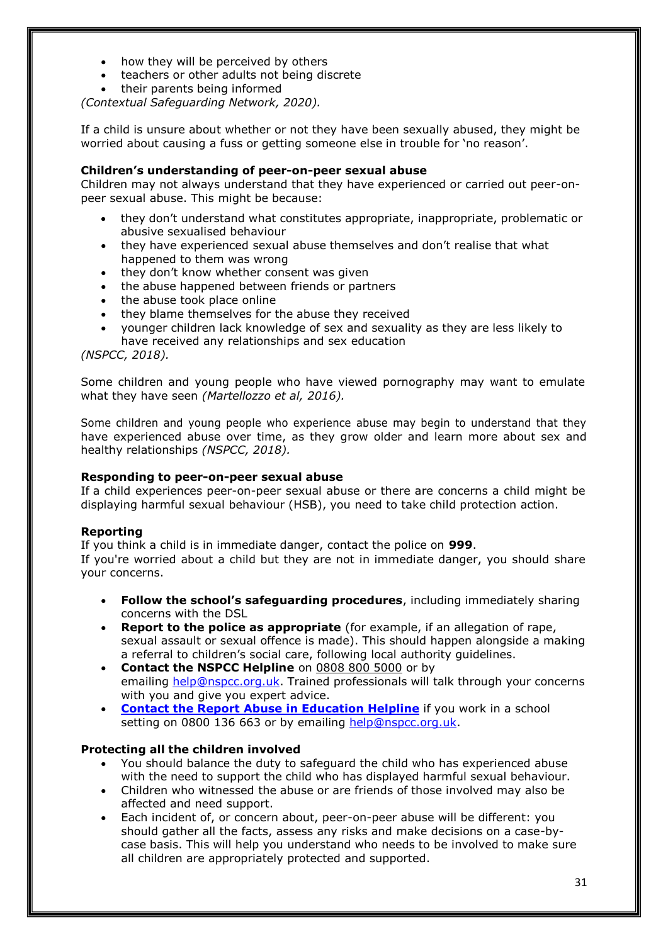- how they will be perceived by others
- teachers or other adults not being discrete
- their parents being informed

*(Contextual Safeguarding Network, 2020).*

If a child is unsure about whether or not they have been sexually abused, they might be worried about causing a fuss or getting someone else in trouble for 'no reason'.

#### **Children's understanding of peer-on-peer sexual abuse**

Children may not always understand that they have experienced or carried out peer-onpeer sexual abuse. This might be because:

- they don't understand what constitutes appropriate, inappropriate, problematic or abusive sexualised behaviour
- they have experienced sexual abuse themselves and don't realise that what happened to them was wrong
- they don't know whether consent was given
- the abuse happened between friends or partners
- the abuse took place online
- they blame themselves for the abuse they received
- younger children lack knowledge of sex and sexuality as they are less likely to have received any relationships and sex education

*(NSPCC, 2018).*

Some children and young people who have viewed pornography may want to emulate what they have seen *(Martellozzo et al, 2016).*

Some children and young people who experience abuse may begin to understand that they have experienced abuse over time, as they grow older and learn more about sex and healthy relationships *(NSPCC, 2018).*

#### **Responding to peer-on-peer sexual abuse**

If a child experiences peer-on-peer sexual abuse or there are concerns a child might be displaying harmful sexual behaviour (HSB), you need to take child protection action.

## **Reporting**

If you think a child is in immediate danger, contact the police on **999**.

If you're worried about a child but they are not in immediate danger, you should share your concerns.

- **Follow the school's safeguarding procedures**, including immediately sharing concerns with the DSL
- **Report to the police as appropriate** (for example, if an allegation of rape, sexual assault or sexual offence is made). This should happen alongside a making a referral to children's social care, following local authority guidelines.
- **Contact the NSPCC Helpline** on 0808 800 5000 or by emailing [help@nspcc.org.uk.](mailto:help@nspcc.org.uk) Trained professionals will talk through your concerns with you and give you expert advice.
- **[Contact the Report Abuse in Education Helpline](https://learning.nspcc.org.uk/news/2021/april/sexual-abuse-in-education-helpline-launched/)** if you work in a school setting on 0800 136 663 or by emailing [help@nspcc.org.uk.](mailto:help@nspcc.org.uk)

#### **Protecting all the children involved**

- You should balance the duty to safeguard the child who has experienced abuse with the need to support the child who has displayed harmful sexual behaviour.
- Children who witnessed the abuse or are friends of those involved may also be affected and need support.
- Each incident of, or concern about, peer-on-peer abuse will be different: you should gather all the facts, assess any risks and make decisions on a case-bycase basis. This will help you understand who needs to be involved to make sure all children are appropriately protected and supported.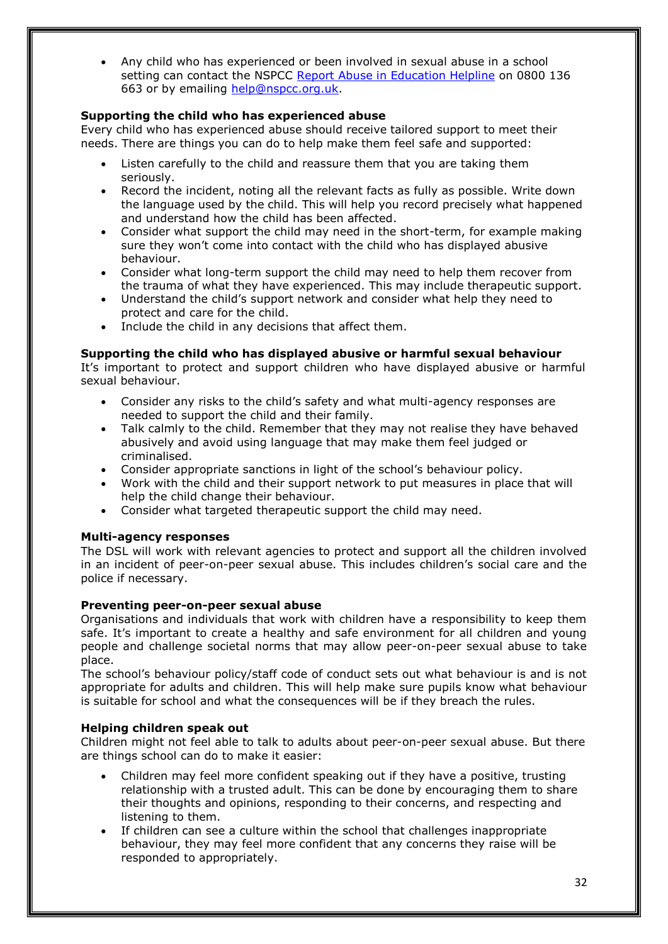• Any child who has experienced or been involved in sexual abuse in a school setting can contact the NSPCC [Report Abuse in Education Helpline](https://learning.nspcc.org.uk/news/2021/april/sexual-abuse-in-education-helpline-launched/) on 0800 136 663 or by emailing [help@nspcc.org.uk.](mailto:help@nspcc.org.uk)

## **Supporting the child who has experienced abuse**

Every child who has experienced abuse should receive tailored support to meet their needs. There are things you can do to help make them feel safe and supported:

- Listen carefully to the child and reassure them that you are taking them seriously.
- Record the incident, noting all the relevant facts as fully as possible. Write down the language used by the child. This will help you record precisely what happened and understand how the child has been affected.
- Consider what support the child may need in the short-term, for example making sure they won't come into contact with the child who has displayed abusive behaviour.
- Consider what long-term support the child may need to help them recover from the trauma of what they have experienced. This may include therapeutic support.
- Understand the child's support network and consider what help they need to protect and care for the child.
- Include the child in any decisions that affect them.

## **Supporting the child who has displayed abusive or harmful sexual behaviour**

It's important to protect and support children who have displayed abusive or harmful sexual behaviour.

- Consider any risks to the child's safety and what multi-agency responses are needed to support the child and their family.
- Talk calmly to the child. Remember that they may not realise they have behaved abusively and avoid using language that may make them feel judged or criminalised.
- Consider appropriate sanctions in light of the school's behaviour policy.
- Work with the child and their support network to put measures in place that will help the child change their behaviour.
- Consider what targeted therapeutic support the child may need.

## **Multi-agency responses**

The DSL will work with relevant agencies to protect and support all the children involved in an incident of peer-on-peer sexual abuse. This includes children's social care and the police if necessary.

#### **Preventing peer-on-peer sexual abuse**

Organisations and individuals that work with children have a responsibility to keep them safe. It's important to create a healthy and safe environment for all children and young people and challenge societal norms that may allow peer-on-peer sexual abuse to take place.

The school's behaviour policy/staff code of conduct sets out what behaviour is and is not appropriate for adults and children. This will help make sure pupils know what behaviour is suitable for school and what the consequences will be if they breach the rules.

#### **Helping children speak out**

Children might not feel able to talk to adults about peer-on-peer sexual abuse. But there are things school can do to make it easier:

- Children may feel more confident speaking out if they have a positive, trusting relationship with a trusted adult. This can be done by encouraging them to share their thoughts and opinions, responding to their concerns, and respecting and listening to them.
- If children can see a culture within the school that challenges inappropriate behaviour, they may feel more confident that any concerns they raise will be responded to appropriately.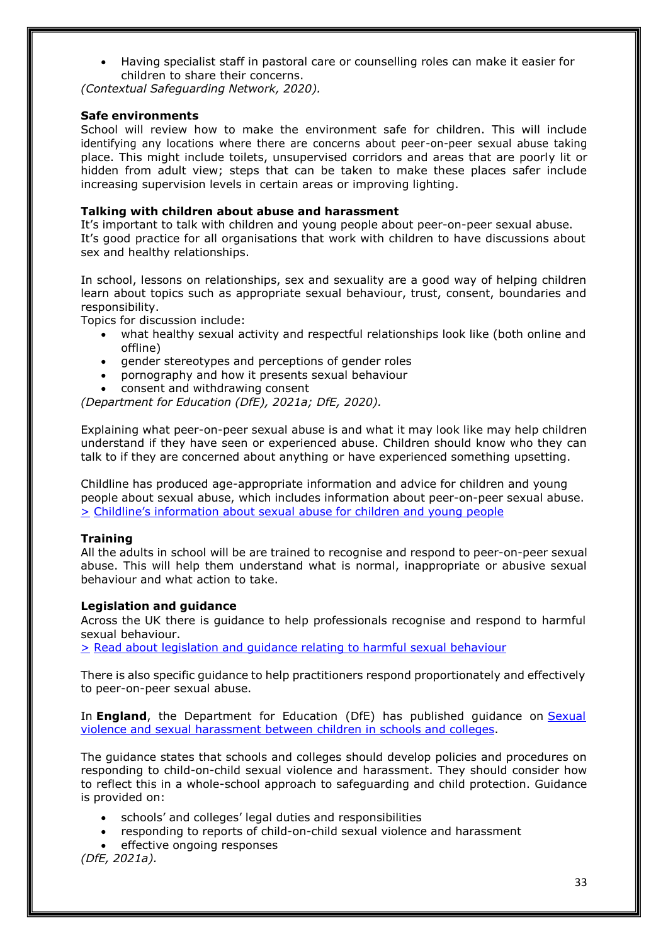• Having specialist staff in pastoral care or counselling roles can make it easier for children to share their concerns.

*(Contextual Safeguarding Network, 2020).*

#### **Safe environments**

School will review how to make the environment safe for children. This will include identifying any locations where there are concerns about peer-on-peer sexual abuse taking place. This might include toilets, unsupervised corridors and areas that are poorly lit or hidden from adult view; steps that can be taken to make these places safer include increasing supervision levels in certain areas or improving lighting.

#### **Talking with children about abuse and harassment**

It's important to talk with children and young people about peer-on-peer sexual abuse. It's good practice for all organisations that work with children to have discussions about sex and healthy relationships.

In school, lessons on relationships, sex and sexuality are a good way of helping children learn about topics such as appropriate sexual behaviour, trust, consent, boundaries and responsibility.

Topics for discussion include:

- what healthy sexual activity and respectful relationships look like (both online and offline)
- gender stereotypes and perceptions of gender roles
- pornography and how it presents sexual behaviour
- consent and withdrawing consent

*(Department for Education (DfE), 2021a; DfE, 2020).*

Explaining what peer-on-peer sexual abuse is and what it may look like may help children understand if they have seen or experienced abuse. Children should know who they can talk to if they are concerned about anything or have experienced something upsetting.

Childline has produced age-appropriate information and advice for children and young people about sexual abuse, which includes information about peer-on-peer sexual abuse. > Childline's [information](https://www.childline.org.uk/info-advice/bullying-abuse-safety/abuse-safety/sexual-abuse/) about sexual abuse for children and young people

#### **Training**

All the adults in school will be are trained to recognise and respond to peer-on-peer sexual abuse. This will help them understand what is normal, inappropriate or abusive sexual behaviour and what action to take.

#### **Legislation and guidance**

Across the UK there is guidance to help professionals recognise and respond to harmful sexual behaviour.

> Read about [legislation](https://learning.nspcc.org.uk/child-abuse-and-neglect/harmful-sexual-behaviour#legislation-and-guidance) and guidance relating to harmful sexual behaviour

There is also specific guidance to help practitioners respond proportionately and effectively to peer-on-peer sexual abuse.

In **England**, the Department for Education (DfE) has published guidance on **[Sexual](https://www.gov.uk/government/publications/sexual-violence-and-sexual-harassment-between-children-in-schools-and-colleges)** violence [and sexual harassment](https://www.gov.uk/government/publications/sexual-violence-and-sexual-harassment-between-children-in-schools-and-colleges) between children in schools and colleges.

The guidance states that schools and colleges should develop policies and procedures on responding to child-on-child sexual violence and harassment. They should consider how to reflect this in a whole-school approach to safeguarding and child protection. Guidance is provided on:

- schools' and colleges' legal duties and responsibilities
- responding to reports of child-on-child sexual violence and harassment

effective ongoing responses

*(DfE, 2021a).*